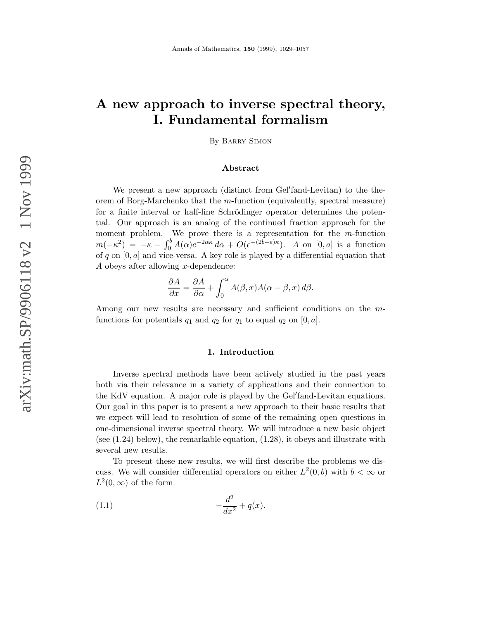# A new approach to inverse spectral theory, I. Fundamental formalism

By Barry Simon

## Abstract

We present a new approach (distinct from Gel'fand-Levitan) to the theorem of Borg-Marchenko that the m-function (equivalently, spectral measure) for a finite interval or half-line Schrödinger operator determines the potential. Our approach is an analog of the continued fraction approach for the moment problem. We prove there is a representation for the  $m$ -function  $m(-\kappa^2) = -\kappa - \int_0^b A(\alpha)e^{-2\alpha\kappa} d\alpha + O(e^{-(2b-\varepsilon)\kappa}).$  A on  $[0, a]$  is a function of q on  $[0, a]$  and vice-versa. A key role is played by a differential equation that A obeys after allowing x-dependence:

$$
\frac{\partial A}{\partial x} = \frac{\partial A}{\partial \alpha} + \int_0^\alpha A(\beta, x) A(\alpha - \beta, x) \, d\beta.
$$

Among our new results are necessary and sufficient conditions on the mfunctions for potentials  $q_1$  and  $q_2$  for  $q_1$  to equal  $q_2$  on  $[0, a]$ .

## 1. Introduction

Inverse spectral methods have been actively studied in the past years both via their relevance in a variety of applications and their connection to the KdV equation. A major role is played by the Gel′ fand-Levitan equations. Our goal in this paper is to present a new approach to their basic results that we expect will lead to resolution of some of the remaining open questions in one-dimensional inverse spectral theory. We will introduce a new basic object (see (1.24) below), the remarkable equation, (1.28), it obeys and illustrate with several new results.

To present these new results, we will first describe the problems we discuss. We will consider differential operators on either  $L^2(0, b)$  with  $b < \infty$  or  $L^2(0,\infty)$  of the form

(1.1) 
$$
-\frac{d^2}{dx^2} + q(x).
$$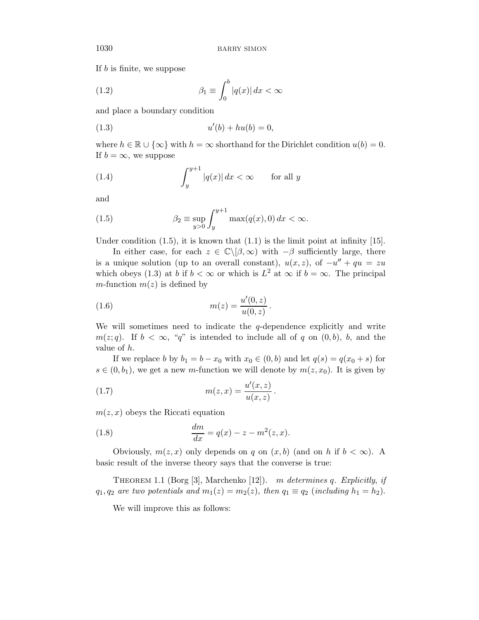If b is finite, we suppose

(1.2) 
$$
\beta_1 \equiv \int_0^b |q(x)| dx < \infty
$$

and place a boundary condition

(1.3) 
$$
u'(b) + hu(b) = 0,
$$

where  $h \in \mathbb{R} \cup \{\infty\}$  with  $h = \infty$  shorthand for the Dirichlet condition  $u(b) = 0$ . If  $b = \infty$ , we suppose

(1.4) 
$$
\int_{y}^{y+1} |q(x)| dx < \infty \quad \text{for all } y
$$

and

(1.5) 
$$
\beta_2 \equiv \sup_{y>0} \int_y^{y+1} \max(q(x),0) dx < \infty.
$$

Under condition  $(1.5)$ , it is known that  $(1.1)$  is the limit point at infinity  $[15]$ .

In either case, for each  $z \in \mathbb{C}\backslash[\beta,\infty)$  with  $-\beta$  sufficiently large, there is a unique solution (up to an overall constant),  $u(x, z)$ , of  $-u'' + qu = zu$ which obeys (1.3) at b if  $b < \infty$  or which is  $L^2$  at  $\infty$  if  $b = \infty$ . The principal m-function  $m(z)$  is defined by

(1.6) 
$$
m(z) = \frac{u'(0, z)}{u(0, z)}.
$$

We will sometimes need to indicate the  $q$ -dependence explicitly and write  $m(z; q)$ . If  $b < \infty$ , "q" is intended to include all of q on  $(0, b)$ , b, and the value of h.

If we replace b by  $b_1 = b - x_0$  with  $x_0 \in (0, b)$  and let  $q(s) = q(x_0 + s)$  for  $s \in (0, b_1)$ , we get a new *m*-function we will denote by  $m(z, x_0)$ . It is given by

(1.7) 
$$
m(z,x) = \frac{u'(x,z)}{u(x,z)}.
$$

 $m(z, x)$  obeys the Riccati equation

(1.8) 
$$
\frac{dm}{dx} = q(x) - z - m^2(z, x).
$$

Obviously,  $m(z, x)$  only depends on q on  $(x, b)$  (and on h if  $b < \infty$ ). A basic result of the inverse theory says that the converse is true:

THEOREM 1.1 (Borg [3], Marchenko [12]). m determines q. Explicitly, if  $q_1, q_2$  are two potentials and  $m_1(z) = m_2(z)$ , then  $q_1 \equiv q_2$  (including  $h_1 = h_2$ ).

We will improve this as follows: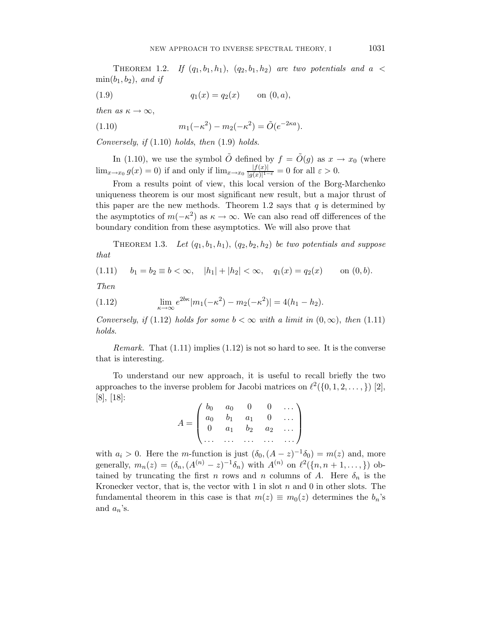THEOREM 1.2. If  $(q_1, b_1, h_1)$ ,  $(q_2, b_1, h_2)$  are two potentials and a <  $\min(b_1, b_2)$ , and if

(1.9) 
$$
q_1(x) = q_2(x) \quad \text{on } (0, a),
$$

then as  $\kappa \to \infty$ ,

(1.10) 
$$
m_1(-\kappa^2) - m_2(-\kappa^2) = \tilde{O}(e^{-2\kappa a}).
$$

Conversely, if  $(1.10)$  holds, then  $(1.9)$  holds.

In (1.10), we use the symbol  $\tilde{O}$  defined by  $f = \tilde{O}(g)$  as  $x \to x_0$  (where  $\lim_{x\to x_0} g(x) = 0$  if and only if  $\lim_{x\to x_0} \frac{|f(x)|}{|g(x)|^{1-\alpha}}$  $\frac{|J(x)|}{|g(x)|^{1-\varepsilon}} = 0$  for all  $\varepsilon > 0$ .

From a results point of view, this local version of the Borg-Marchenko uniqueness theorem is our most significant new result, but a major thrust of this paper are the new methods. Theorem 1.2 says that  $q$  is determined by the asymptotics of  $m(-\kappa^2)$  as  $\kappa \to \infty$ . We can also read off differences of the boundary condition from these asymptotics. We will also prove that

THEOREM 1.3. Let  $(q_1, b_1, h_1), (q_2, b_2, h_2)$  be two potentials and suppose that

$$
(1.11) \t b_1 = b_2 \equiv b < \infty, \t |h_1| + |h_2| < \infty, \t q_1(x) = q_2(x) \t on (0, b).
$$

Then

(1.12) 
$$
\lim_{\kappa \to \infty} e^{2b\kappa} |m_1(-\kappa^2) - m_2(-\kappa^2)| = 4(h_1 - h_2).
$$

Conversely, if (1.12) holds for some  $b < \infty$  with a limit in  $(0, \infty)$ , then (1.11) holds.

*Remark.* That  $(1.11)$  implies  $(1.12)$  is not so hard to see. It is the converse that is interesting.

To understand our new approach, it is useful to recall briefly the two approaches to the inverse problem for Jacobi matrices on  $\ell^2(\{0,1,2,\ldots,\})$  [2], [8], [18]:

$$
A = \begin{pmatrix} b_0 & a_0 & 0 & 0 & \dots \\ a_0 & b_1 & a_1 & 0 & \dots \\ 0 & a_1 & b_2 & a_2 & \dots \\ \dots & \dots & \dots & \dots & \dots \end{pmatrix}
$$

with  $a_i > 0$ . Here the *m*-function is just  $(\delta_0, (A - z)^{-1}\delta_0) = m(z)$  and, more generally,  $m_n(z) = (\delta_n, (A^{(n)} - z)^{-1} \delta_n)$  with  $A^{(n)}$  on  $\ell^2(\{n, n+1, ..., \})$  obtained by truncating the first n rows and n columns of A. Here  $\delta_n$  is the Kronecker vector, that is, the vector with  $1$  in slot  $n$  and  $0$  in other slots. The fundamental theorem in this case is that  $m(z) \equiv m_0(z)$  determines the  $b_n$ 's and  $a_n$ 's.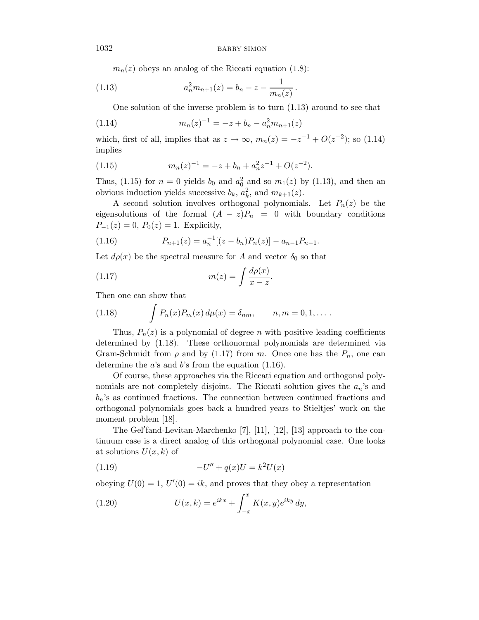$m_n(z)$  obeys an analog of the Riccati equation (1.8):

(1.13) 
$$
a_n^2 m_{n+1}(z) = b_n - z - \frac{1}{m_n(z)}
$$

One solution of the inverse problem is to turn (1.13) around to see that

.

(1.14) 
$$
m_n(z)^{-1} = -z + b_n - a_n^2 m_{n+1}(z)
$$

which, first of all, implies that as  $z \to \infty$ ,  $m_n(z) = -z^{-1} + O(z^{-2})$ ; so (1.14) implies

(1.15) 
$$
m_n(z)^{-1} = -z + b_n + a_n^2 z^{-1} + O(z^{-2}).
$$

Thus, (1.15) for  $n = 0$  yields  $b_0$  and  $a_0^2$  and so  $m_1(z)$  by (1.13), and then an obvious induction yields successive  $b_k$ ,  $a_k^2$ , and  $m_{k+1}(z)$ .

A second solution involves orthogonal polynomials. Let  $P_n(z)$  be the eigensolutions of the formal  $(A - z)P_n = 0$  with boundary conditions  $P_{-1}(z) = 0$ ,  $P_0(z) = 1$ . Explicitly,

(1.16) 
$$
P_{n+1}(z) = a_n^{-1}[(z - b_n)P_n(z)] - a_{n-1}P_{n-1}.
$$

Let  $d\rho(x)$  be the spectral measure for A and vector  $\delta_0$  so that

$$
(1.17) \t\t\t m(z) = \int \frac{d\rho(x)}{x - z}.
$$

Then one can show that

(1.18) 
$$
\int P_n(x) P_m(x) d\mu(x) = \delta_{nm}, \qquad n, m = 0, 1, \dots.
$$

Thus,  $P_n(z)$  is a polynomial of degree n with positive leading coefficients determined by (1.18). These orthonormal polynomials are determined via Gram-Schmidt from  $\rho$  and by (1.17) from m. Once one has the  $P_n$ , one can determine the  $a$ 's and  $b$ 's from the equation  $(1.16)$ .

Of course, these approaches via the Riccati equation and orthogonal polynomials are not completely disjoint. The Riccati solution gives the  $a_n$ 's and  $b_n$ 's as continued fractions. The connection between continued fractions and orthogonal polynomials goes back a hundred years to Stieltjes' work on the moment problem [18].

The Gel′ fand-Levitan-Marchenko [7], [11], [12], [13] approach to the continuum case is a direct analog of this orthogonal polynomial case. One looks at solutions  $U(x, k)$  of

(1.19) 
$$
-U'' + q(x)U = k^2 U(x)
$$

obeying  $U(0) = 1$ ,  $U'(0) = ik$ , and proves that they obey a representation

(1.20) 
$$
U(x,k) = e^{ikx} + \int_{-x}^{x} K(x,y)e^{iky} dy,
$$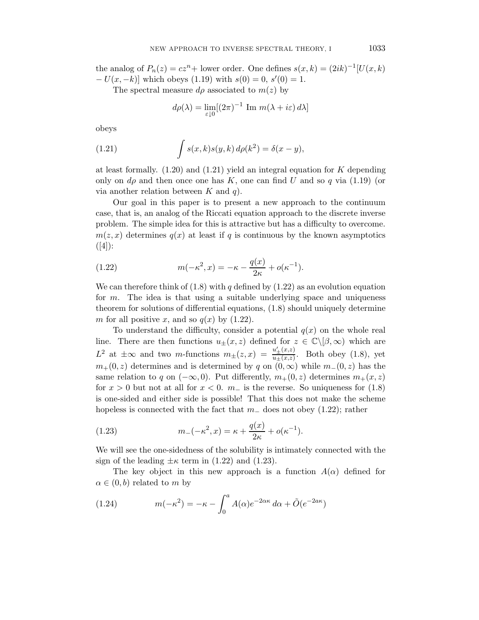the analog of  $P_n(z) = cz^n +$  lower order. One defines  $s(x, k) = (2ik)^{-1}[U(x, k)]$  $-U(x, -k)$ ] which obeys (1.19) with  $s(0) = 0$ ,  $s'(0) = 1$ .

The spectral measure  $d\rho$  associated to  $m(z)$  by

$$
d\rho(\lambda) = \lim_{\varepsilon \downarrow 0} [(2\pi)^{-1} \text{ Im } m(\lambda + i\varepsilon) d\lambda]
$$

obeys

(1.21) 
$$
\int s(x,k)s(y,k) d\rho(k^2) = \delta(x-y),
$$

at least formally.  $(1.20)$  and  $(1.21)$  yield an integral equation for K depending only on  $d\rho$  and then once one has K, one can find U and so q via (1.19) (or via another relation between  $K$  and  $q$ ).

Our goal in this paper is to present a new approach to the continuum case, that is, an analog of the Riccati equation approach to the discrete inverse problem. The simple idea for this is attractive but has a difficulty to overcome.  $m(z, x)$  determines  $q(x)$  at least if q is continuous by the known asymptotics  $([4])$ :

(1.22) 
$$
m(-\kappa^2, x) = -\kappa - \frac{q(x)}{2\kappa} + o(\kappa^{-1}).
$$

We can therefore think of  $(1.8)$  with q defined by  $(1.22)$  as an evolution equation for  $m$ . The idea is that using a suitable underlying space and uniqueness theorem for solutions of differential equations, (1.8) should uniquely determine m for all positive x, and so  $q(x)$  by  $(1.22)$ .

To understand the difficulty, consider a potential  $q(x)$  on the whole real line. There are then functions  $u_{\pm}(x, z)$  defined for  $z \in \mathbb{C} \backslash [\beta, \infty)$  which are  $L^2$  at  $\pm \infty$  and two *m*-functions  $m_{\pm}(z,x) = \frac{u'_{\pm}(x,z)}{u_{\pm}(x,z)}$  $\frac{u_{\pm}(x,z)}{u_{\pm}(x,z)}$ . Both obey (1.8), yet  $m_{+}(0, z)$  determines and is determined by q on  $(0, \infty)$  while  $m_{-}(0, z)$  has the same relation to q on  $(-\infty, 0)$ . Put differently,  $m_+(0, z)$  determines  $m_+(x, z)$ for  $x > 0$  but not at all for  $x < 0$ .  $m_-\$  is the reverse. So uniqueness for (1.8) is one-sided and either side is possible! That this does not make the scheme hopeless is connected with the fact that  $m_-\text{ does not obey } (1.22)$ ; rather

(1.23) 
$$
m_{-}(-\kappa^{2}, x) = \kappa + \frac{q(x)}{2\kappa} + o(\kappa^{-1}).
$$

We will see the one-sidedness of the solubility is intimately connected with the sign of the leading  $\pm \kappa$  term in (1.22) and (1.23).

The key object in this new approach is a function  $A(\alpha)$  defined for  $\alpha \in (0, b)$  related to m by

(1.24) 
$$
m(-\kappa^2) = -\kappa - \int_0^a A(\alpha)e^{-2\alpha\kappa} d\alpha + \tilde{O}(e^{-2a\kappa})
$$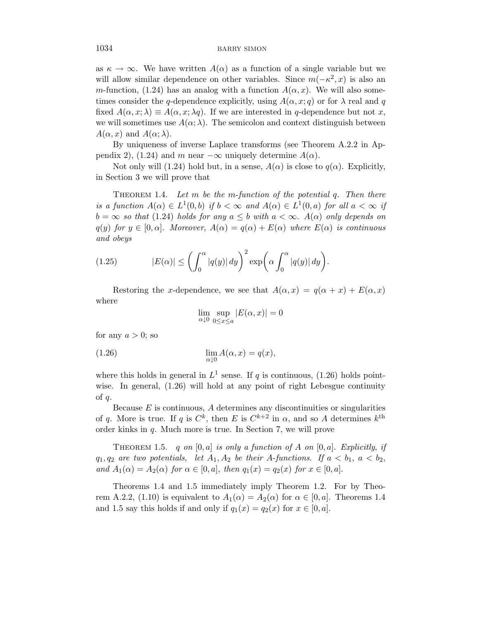as  $\kappa \to \infty$ . We have written  $A(\alpha)$  as a function of a single variable but we will allow similar dependence on other variables. Since  $m(-\kappa^2, x)$  is also an m-function, (1.24) has an analog with a function  $A(\alpha, x)$ . We will also sometimes consider the q-dependence explicitly, using  $A(\alpha, x; q)$  or for  $\lambda$  real and q fixed  $A(\alpha, x; \lambda) \equiv A(\alpha, x; \lambda q)$ . If we are interested in q-dependence but not x, we will sometimes use  $A(\alpha; \lambda)$ . The semicolon and context distinguish between  $A(\alpha, x)$  and  $A(\alpha; \lambda)$ .

By uniqueness of inverse Laplace transforms (see Theorem A.2.2 in Appendix 2), (1.24) and m near  $-\infty$  uniquely determine  $A(\alpha)$ .

Not only will (1.24) hold but, in a sense,  $A(\alpha)$  is close to  $q(\alpha)$ . Explicitly, in Section 3 we will prove that

THEOREM 1.4. Let m be the m-function of the potential q. Then there is a function  $A(\alpha) \in L^1(0,b)$  if  $b < \infty$  and  $A(\alpha) \in L^1(0,a)$  for all  $a < \infty$  if  $b = \infty$  so that (1.24) holds for any  $a \leq b$  with  $a < \infty$ .  $A(\alpha)$  only depends on  $q(y)$  for  $y \in [0, \alpha]$ . Moreover,  $A(\alpha) = q(\alpha) + E(\alpha)$  where  $E(\alpha)$  is continuous and obeys

(1.25) 
$$
|E(\alpha)| \leq \left(\int_0^{\alpha} |q(y)| dy\right)^2 \exp\left(\alpha \int_0^{\alpha} |q(y)| dy\right).
$$

Restoring the x-dependence, we see that  $A(\alpha, x) = q(\alpha + x) + E(\alpha, x)$ where

$$
\lim_{\alpha\downarrow 0}\sup_{0\leq x\leq a}|E(\alpha,x)|=0
$$

for any  $a > 0$ ; so

(1.26) 
$$
\lim_{\alpha \downarrow 0} A(\alpha, x) = q(x),
$$

where this holds in general in  $L^1$  sense. If q is continuous, (1.26) holds pointwise. In general,  $(1.26)$  will hold at any point of right Lebesgue continuity of q.

Because  $E$  is continuous,  $A$  determines any discontinuities or singularities of q. More is true. If q is  $C^k$ , then E is  $C^{k+2}$  in  $\alpha$ , and so A determines  $k^{\text{th}}$ order kinks in  $q$ . Much more is true. In Section 7, we will prove

THEOREM 1.5. q on  $[0, a]$  is only a function of A on  $[0, a]$ . Explicitly, if  $q_1, q_2$  are two potentials, let  $A_1, A_2$  be their A-functions. If  $a < b_1, a < b_2$ , and  $A_1(\alpha) = A_2(\alpha)$  for  $\alpha \in [0, a]$ , then  $q_1(x) = q_2(x)$  for  $x \in [0, a]$ .

Theorems 1.4 and 1.5 immediately imply Theorem 1.2. For by Theorem A.2.2, (1.10) is equivalent to  $A_1(\alpha) = A_2(\alpha)$  for  $\alpha \in [0, a]$ . Theorems 1.4 and 1.5 say this holds if and only if  $q_1(x) = q_2(x)$  for  $x \in [0, a]$ .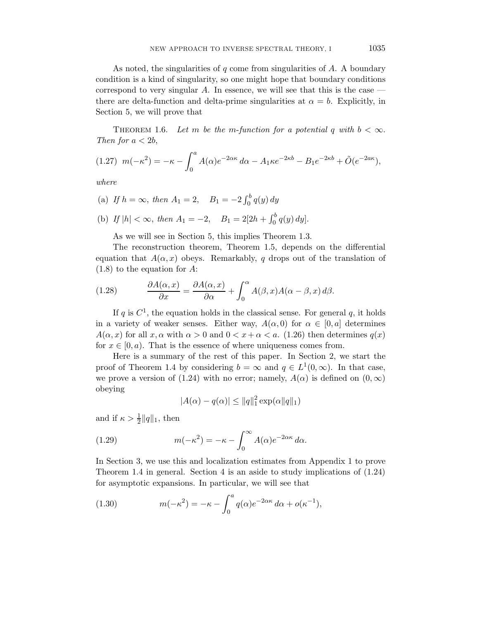As noted, the singularities of  $q$  come from singularities of  $A$ . A boundary condition is a kind of singularity, so one might hope that boundary conditions correspond to very singular  $A$ . In essence, we will see that this is the case  $$ there are delta-function and delta-prime singularities at  $\alpha = b$ . Explicitly, in Section 5, we will prove that

THEOREM 1.6. Let m be the m-function for a potential q with  $b < \infty$ . Then for  $a < 2b$ ,

$$
(1.27) \ \ m(-\kappa^2) = -\kappa - \int_0^a A(\alpha)e^{-2\alpha\kappa} \, d\alpha - A_1\kappa e^{-2\kappa b} - B_1e^{-2\kappa b} + \tilde{O}(e^{-2a\kappa}),
$$

where

(a) If  $h = \infty$ , then  $A_1 = 2$ ,  $B_1 = -2 \int_0^b q(y) dy$ 

(b) If 
$$
|h| < \infty
$$
, then  $A_1 = -2$ ,  $B_1 = 2[2h + \int_0^b q(y) dy]$ .

As we will see in Section 5, this implies Theorem 1.3.

The reconstruction theorem, Theorem 1.5, depends on the differential equation that  $A(\alpha, x)$  obeys. Remarkably, q drops out of the translation of (1.8) to the equation for A:

(1.28) 
$$
\frac{\partial A(\alpha, x)}{\partial x} = \frac{\partial A(\alpha, x)}{\partial \alpha} + \int_0^{\alpha} A(\beta, x) A(\alpha - \beta, x) d\beta.
$$

If q is  $C^1$ , the equation holds in the classical sense. For general q, it holds in a variety of weaker senses. Either way,  $A(\alpha, 0)$  for  $\alpha \in [0, a]$  determines  $A(\alpha, x)$  for all  $x, \alpha$  with  $\alpha > 0$  and  $0 < x + \alpha < a$ . (1.26) then determines  $q(x)$ for  $x \in [0, a)$ . That is the essence of where uniqueness comes from.

Here is a summary of the rest of this paper. In Section 2, we start the proof of Theorem 1.4 by considering  $b = \infty$  and  $q \in L^1(0, \infty)$ . In that case, we prove a version of (1.24) with no error; namely,  $A(\alpha)$  is defined on  $(0,\infty)$ obeying

$$
|A(\alpha) - q(\alpha)| \le ||q||_1^2 \exp(\alpha ||q||_1)
$$

and if  $\kappa > \frac{1}{2} ||q||_1$ , then

(1.29) 
$$
m(-\kappa^2) = -\kappa - \int_0^\infty A(\alpha)e^{-2\alpha\kappa} d\alpha.
$$

In Section 3, we use this and localization estimates from Appendix 1 to prove Theorem 1.4 in general. Section 4 is an aside to study implications of (1.24) for asymptotic expansions. In particular, we will see that

(1.30) 
$$
m(-\kappa^2) = -\kappa - \int_0^a q(\alpha)e^{-2\alpha\kappa} d\alpha + o(\kappa^{-1}),
$$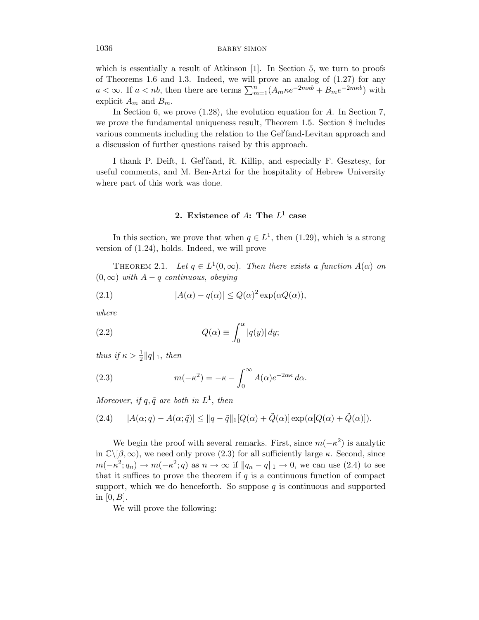which is essentially a result of Atkinson [1]. In Section 5, we turn to proofs of Theorems 1.6 and 1.3. Indeed, we will prove an analog of (1.27) for any  $a < \infty$ . If  $a < nb$ , then there are terms  $\sum_{m=1}^{n} (A_m \kappa e^{-2mkb} + B_m e^{-2mkb})$  with explicit  $A_m$  and  $B_m$ .

In Section 6, we prove  $(1.28)$ , the evolution equation for A. In Section 7, we prove the fundamental uniqueness result, Theorem 1.5. Section 8 includes various comments including the relation to the Gel′ fand-Levitan approach and a discussion of further questions raised by this approach.

I thank P. Deift, I. Gel′ fand, R. Killip, and especially F. Gesztesy, for useful comments, and M. Ben-Artzi for the hospitality of Hebrew University where part of this work was done.

## 2. Existence of  $A$ : The  $L^1$  case

In this section, we prove that when  $q \in L^1$ , then (1.29), which is a strong version of (1.24), holds. Indeed, we will prove

THEOREM 2.1. Let  $q \in L^1(0,\infty)$ . Then there exists a function  $A(\alpha)$  on  $(0, \infty)$  with  $A - q$  continuous, obeying

(2.1) 
$$
|A(\alpha) - q(\alpha)| \le Q(\alpha)^2 \exp(\alpha Q(\alpha)),
$$

where

(2.2) 
$$
Q(\alpha) \equiv \int_0^{\alpha} |q(y)| dy;
$$

thus if  $\kappa > \frac{1}{2} ||q||_1$ , then

(2.3) 
$$
m(-\kappa^2) = -\kappa - \int_0^\infty A(\alpha)e^{-2\alpha\kappa} d\alpha.
$$

Moreover, if  $q, \tilde{q}$  are both in  $L^1$ , then

(2.4) 
$$
|A(\alpha;q)-A(\alpha;\tilde{q})| \le ||q-\tilde{q}||_1[Q(\alpha)+\tilde{Q}(\alpha)]\exp(\alpha[Q(\alpha)+\tilde{Q}(\alpha)]).
$$

We begin the proof with several remarks. First, since  $m(-\kappa^2)$  is analytic in  $\mathbb{C}\backslash[\beta,\infty)$ , we need only prove (2.3) for all sufficiently large  $\kappa$ . Second, since  $m(-\kappa^2; q_n) \to m(-\kappa^2; q)$  as  $n \to \infty$  if  $||q_n - q||_1 \to 0$ , we can use (2.4) to see that it suffices to prove the theorem if  $q$  is a continuous function of compact support, which we do henceforth. So suppose  $q$  is continuous and supported in  $[0, B]$ .

We will prove the following: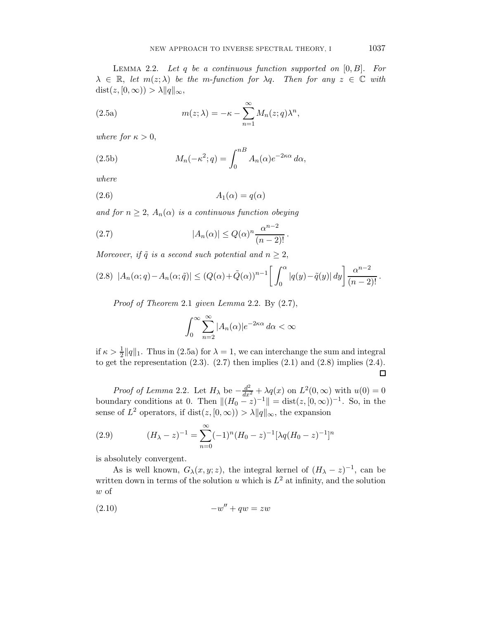LEMMA 2.2. Let q be a continuous function supported on  $[0, B]$ . For  $\lambda \in \mathbb{R}$ , let  $m(z; \lambda)$  be the m-function for  $\lambda q$ . Then for any  $z \in \mathbb{C}$  with  $dist(z, [0, \infty)) > \lambda ||q||_{\infty},$ 

(2.5a) 
$$
m(z; \lambda) = -\kappa - \sum_{n=1}^{\infty} M_n(z; q) \lambda^n,
$$

where for  $\kappa > 0$ ,

(2.5b) 
$$
M_n(-\kappa^2;q) = \int_0^{nB} A_n(\alpha)e^{-2\kappa\alpha} d\alpha,
$$

where

$$
(2.6) \t\t A1(\alpha) = q(\alpha)
$$

and for  $n \geq 2$ ,  $A_n(\alpha)$  is a continuous function obeying

(2.7) 
$$
|A_n(\alpha)| \le Q(\alpha)^n \frac{\alpha^{n-2}}{(n-2)!}.
$$

Moreover, if  $\tilde{q}$  is a second such potential and  $n \geq 2$ ,

$$
(2.8)\ \ |A_n(\alpha;q)-A_n(\alpha;\tilde{q})|\leq (Q(\alpha)+\tilde{Q}(\alpha))^{n-1}\bigg[\int_0^{\alpha}|q(y)-\tilde{q}(y)|\,dy\bigg]\frac{\alpha^{n-2}}{(n-2)!}.
$$

Proof of Theorem 2.1 given Lemma 2.2. By (2.7),

$$
\int_0^\infty \sum_{n=2}^\infty |A_n(\alpha)| e^{-2\kappa\alpha} \, d\alpha < \infty
$$

if  $\kappa > \frac{1}{2} ||q||_1$ . Thus in (2.5a) for  $\lambda = 1$ , we can interchange the sum and integral to get the representation  $(2.3)$ .  $(2.7)$  then implies  $(2.1)$  and  $(2.8)$  implies  $(2.4)$ .  $\Box$ 

*Proof of Lemma* 2.2. Let  $H_{\lambda}$  be  $-\frac{d^2}{dx^2} + \lambda q(x)$  on  $L^2(0, \infty)$  with  $u(0) = 0$ boundary conditions at 0. Then  $||(H_0 - z)^{-1}|| = \text{dist}(z, [0, \infty))^{-1}$ . So, in the sense of  $L^2$  operators, if  $dist(z, [0, \infty)) > \lambda ||q||_{\infty}$ , the expansion

(2.9) 
$$
(H_{\lambda} - z)^{-1} = \sum_{n=0}^{\infty} (-1)^n (H_0 - z)^{-1} [\lambda q (H_0 - z)^{-1}]^n
$$

is absolutely convergent.

As is well known,  $G_{\lambda}(x, y; z)$ , the integral kernel of  $(H_{\lambda} - z)^{-1}$ , can be written down in terms of the solution u which is  $L^2$  at infinity, and the solution w of

$$
(-w'' + qw = zw
$$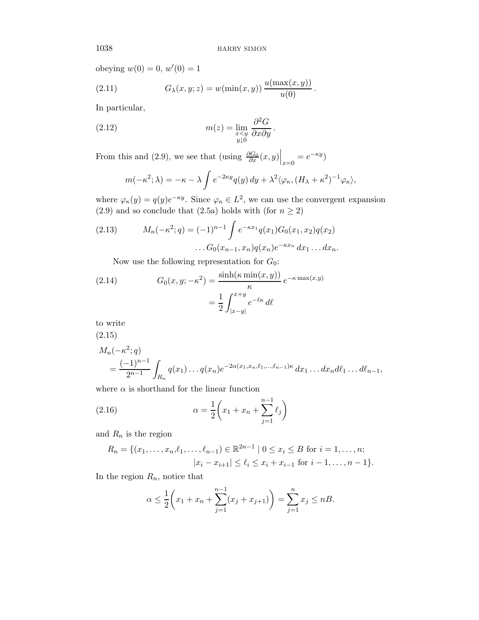obeying  $w(0) = 0, w'(0) = 1$ 

(2.11) 
$$
G_{\lambda}(x, y; z) = w(\min(x, y)) \frac{u(\max(x, y))}{u(0)}.
$$

In particular,

(2.12) 
$$
m(z) = \lim_{\substack{x \le y \\ y \downarrow 0}} \frac{\partial^2 G}{\partial x \partial y}.
$$

From this and (2.9), we see that (using  $\frac{\partial G_0}{\partial x}(x, y)\Big|_{x=0} = e^{-\kappa y}$ )

$$
m(-\kappa^2;\lambda) = -\kappa - \lambda \int e^{-2\kappa y} q(y) dy + \lambda^2 \langle \varphi_\kappa, (H_\lambda + \kappa^2)^{-1} \varphi_\kappa \rangle,
$$

where  $\varphi_{\kappa}(y) = q(y)e^{-\kappa y}$ . Since  $\varphi_{\kappa} \in L^2$ , we can use the convergent expansion (2.9) and so conclude that (2.5a) holds with (for  $n \geq 2$ )

(2.13) 
$$
M_n(-\kappa^2; q) = (-1)^{n-1} \int e^{-\kappa x_1} q(x_1) G_0(x_1, x_2) q(x_2)
$$

$$
\dots G_0(x_{n-1}, x_n) q(x_n) e^{-\kappa x_n} dx_1 \dots dx_n.
$$

Now use the following representation for  $G_0$ :

(2.14) 
$$
G_0(x, y; -\kappa^2) = \frac{\sinh(\kappa \min(x, y))}{\kappa} e^{-\kappa \max(x, y)}
$$

$$
= \frac{1}{2} \int_{|x-y|}^{x+y} e^{-\ell \kappa} d\ell
$$

to write

(2.15)

$$
M_n(-\kappa^2; q)
$$
  
=  $\frac{(-1)^{n-1}}{2^{n-1}} \int_{R_n} q(x_1) \dots q(x_n) e^{-2\alpha(x_1, x_n, \ell_1, \dots, \ell_{n-1})\kappa} dx_1 \dots dx_n d\ell_1 \dots d\ell_{n-1},$ 

where  $\alpha$  is shorthand for the linear function

(2.16) 
$$
\alpha = \frac{1}{2} \left( x_1 + x_n + \sum_{j=1}^{n-1} \ell_j \right)
$$

and  $R_n$  is the region

$$
R_n = \{ (x_1, \dots, x_n, \ell_1, \dots, \ell_{n-1}) \in \mathbb{R}^{2n-1} \mid 0 \le x_i \le B \text{ for } i = 1, \dots, n; |x_i - x_{i+1}| \le \ell_i \le x_i + x_{i-1} \text{ for } i - 1, \dots, n - 1 \}.
$$

In the region  $R_n$ , notice that

$$
\alpha \le \frac{1}{2} \bigg( x_1 + x_n + \sum_{j=1}^{n-1} (x_j + x_{j+1}) \bigg) = \sum_{j=1}^n x_j \le n.
$$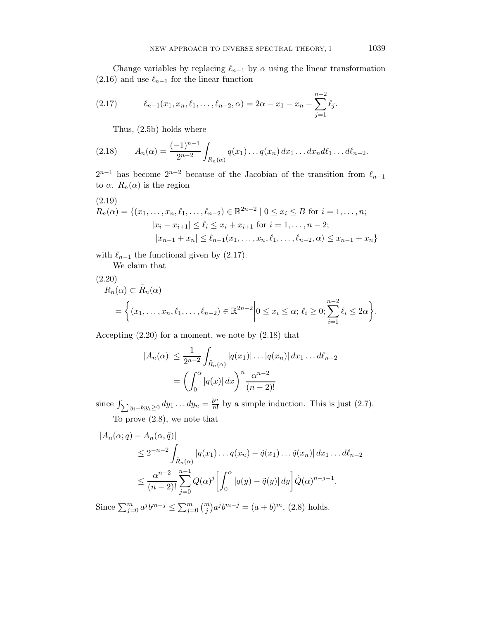Change variables by replacing  $\ell_{n-1}$  by  $\alpha$  using the linear transformation (2.16) and use  $\ell_{n-1}$  for the linear function

(2.17) 
$$
\ell_{n-1}(x_1, x_n, \ell_1, \ldots, \ell_{n-2}, \alpha) = 2\alpha - x_1 - x_n - \sum_{j=1}^{n-2} \ell_j.
$$

Thus, (2.5b) holds where

(2.18) 
$$
A_n(\alpha) = \frac{(-1)^{n-1}}{2^{n-2}} \int_{R_n(\alpha)} q(x_1) \dots q(x_n) dx_1 \dots dx_n d\ell_1 \dots d\ell_{n-2}.
$$

 $2^{n-1}$  has become  $2^{n-2}$  because of the Jacobian of the transition from  $\ell_{n-1}$ to  $\alpha$ .  $R_n(\alpha)$  is the region

$$
(2.19)
$$
  
\n
$$
R_n(\alpha) = \{(x_1, \ldots, x_n, \ell_1, \ldots, \ell_{n-2}) \in \mathbb{R}^{2n-2} \mid 0 \le x_i \le B \text{ for } i = 1, \ldots, n; |x_i - x_{i+1}| \le \ell_i \le x_i + x_{i+1} \text{ for } i = 1, \ldots, n-2; |x_{n-1} + x_n| \le \ell_{n-1}(x_1, \ldots, x_n, \ell_1, \ldots, \ell_{n-2}, \alpha) \le x_{n-1} + x_n \}
$$

with  $\ell_{n-1}$  the functional given by (2.17).

We claim that

$$
(2.20) \nR_n(\alpha) \subset \tilde{R}_n(\alpha) \n= \left\{ (x_1, \ldots, x_n, \ell_1, \ldots, \ell_{n-2}) \in \mathbb{R}^{2n-2} \middle| 0 \le x_i \le \alpha; \ell_i \ge 0; \sum_{i=1}^{n-2} \ell_i \le 2\alpha \right\}.
$$

Accepting (2.20) for a moment, we note by (2.18) that

$$
|A_n(\alpha)| \le \frac{1}{2^{n-2}} \int_{\tilde{R}_n(\alpha)} |q(x_1)| \dots |q(x_n)| dx_1 \dots d\ell_{n-2}
$$
  
= 
$$
\left( \int_0^{\alpha} |q(x)| dx \right)^n \frac{\alpha^{n-2}}{(n-2)!}
$$

since  $\int \sum y_i = b; y_i \ge 0$   $dy_1 \ldots dy_n = \frac{b^n}{n!}$  $\frac{b^n}{n!}$  by a simple induction. This is just (2.7). To prove (2.8), we note that

$$
|A_n(\alpha;q) - A_n(\alpha,\tilde{q})|
$$
  
\n
$$
\leq 2^{-n-2} \int_{\tilde{R}_n(\alpha)} |q(x_1) \dots q(x_n) - \tilde{q}(x_1) \dots \tilde{q}(x_n)| dx_1 \dots d\ell_{n-2}
$$
  
\n
$$
\leq \frac{\alpha^{n-2}}{(n-2)!} \sum_{j=0}^{n-1} Q(\alpha)^j \left[ \int_0^{\alpha} |q(y) - \tilde{q}(y)| dy \right] \tilde{Q}(\alpha)^{n-j-1}.
$$

Since  $\sum_{j=0}^{m} a^{j} b^{m-j} \le \sum_{j=0}^{m} \binom{m}{j} a^{j} b^{m-j} = (a+b)^{m}, (2.8)$  holds.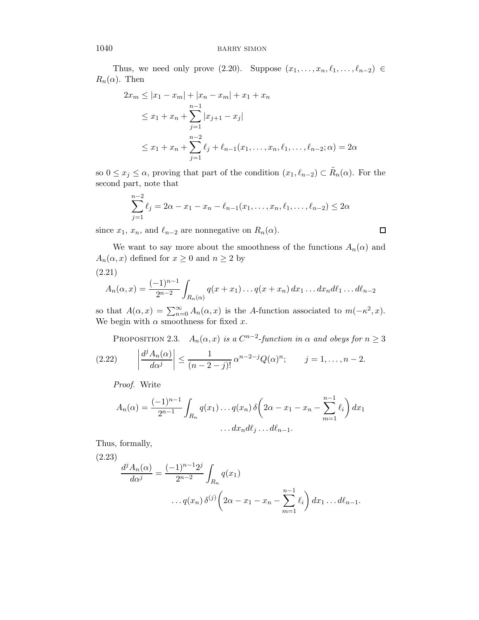Thus, we need only prove (2.20). Suppose  $(x_1, \ldots, x_n, \ell_1, \ldots, \ell_{n-2}) \in$  $R_n(\alpha)$ . Then

$$
2x_m \le |x_1 - x_m| + |x_n - x_m| + x_1 + x_n
$$
  
\n
$$
\le x_1 + x_n + \sum_{j=1}^{n-1} |x_{j+1} - x_j|
$$
  
\n
$$
\le x_1 + x_n + \sum_{j=1}^{n-2} \ell_j + \ell_{n-1}(x_1, \dots, x_n, \ell_1, \dots, \ell_{n-2}; \alpha) = 2\alpha
$$

so  $0 \le x_j \le \alpha$ , proving that part of the condition  $(x_1, \ell_{n-2}) \subset \tilde{R}_n(\alpha)$ . For the second part, note that

$$
\sum_{j=1}^{n-2} \ell_j = 2\alpha - x_1 - x_n - \ell_{n-1}(x_1, \dots, x_n, \ell_1, \dots, \ell_{n-2}) \le 2\alpha
$$

 $\Box$ 

since  $x_1, x_n$ , and  $\ell_{n-2}$  are nonnegative on  $R_n(\alpha)$ .

We want to say more about the smoothness of the functions  $A_n(\alpha)$  and  $A_n(\alpha, x)$  defined for  $x \geq 0$  and  $n \geq 2$  by (2.21)

$$
A_n(\alpha, x) = \frac{(-1)^{n-1}}{2^{n-2}} \int_{R_n(\alpha)} q(x + x_1) \dots q(x + x_n) dx_1 \dots dx_n d\ell_1 \dots d\ell_{n-2}
$$

so that  $A(\alpha, x) = \sum_{n=0}^{\infty} A_n(\alpha, x)$  is the A-function associated to  $m(-\kappa^2, x)$ . We begin with  $\alpha$  smoothness for fixed x.

PROPOSITION 2.3.  $A_n(\alpha, x)$  is a  $C^{n-2}$ -function in  $\alpha$  and obeys for  $n \geq 3$ (2.22)  $\begin{array}{c} \begin{array}{c} \begin{array}{c} \end{array} \\ \begin{array}{c} \end{array} \end{array} \end{array}$  $d^jA_n(\alpha)$  $d\alpha^j$  $\begin{array}{c} \begin{array}{c} \begin{array}{c} \end{array} \\ \begin{array}{c} \end{array} \end{array} \end{array}$ ≤  $\frac{1}{(n-2-j)!} \alpha^{n-2-j} Q(\alpha)^n; \qquad j=1,\ldots,n-2.$ 

Proof. Write

$$
A_n(\alpha) = \frac{(-1)^{n-1}}{2^{n-1}} \int_{R_n} q(x_1) \dots q(x_n) \, \delta\left(2\alpha - x_1 - x_n - \sum_{m=1}^{n-1} \ell_i\right) dx_1
$$

$$
\dots dx_n d\ell_j \dots d\ell_{n-1}.
$$

Thus, formally,

(2.23)  
\n
$$
\frac{d^j A_n(\alpha)}{d\alpha^j} = \frac{(-1)^{n-1} 2^j}{2^{n-2}} \int_{R_n} q(x_1)
$$
\n
$$
\dots q(x_n) \, \delta^{(j)} \left(2\alpha - x_1 - x_n - \sum_{m=1}^{n-1} \ell_i\right) dx_1 \dots d\ell_{n-1}.
$$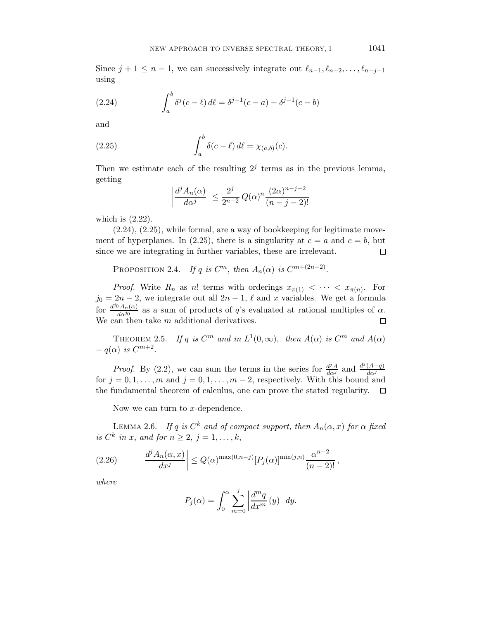Since  $j + 1 \leq n - 1$ , we can successively integrate out  $\ell_{n-1}, \ell_{n-2}, \ldots, \ell_{n-j-1}$ using

(2.24) 
$$
\int_{a}^{b} \delta^{j}(c - \ell) d\ell = \delta^{j-1}(c - a) - \delta^{j-1}(c - b)
$$

and

(2.25) 
$$
\int_a^b \delta(c-\ell) d\ell = \chi_{(a,b)}(c).
$$

Then we estimate each of the resulting  $2<sup>j</sup>$  terms as in the previous lemma, getting

$$
\left| \frac{d^j A_n(\alpha)}{d\alpha^j} \right| \le \frac{2^j}{2^{n-2}} Q(\alpha)^n \frac{(2\alpha)^{n-j-2}}{(n-j-2)!}
$$

which is (2.22).

(2.24), (2.25), while formal, are a way of bookkeeping for legitimate movement of hyperplanes. In (2.25), there is a singularity at  $c = a$  and  $c = b$ , but since we are integrating in further variables, these are irrelevant.  $\Box$ 

PROPOSITION 2.4. If q is  $C^m$ , then  $A_n(\alpha)$  is  $C^{m+(2n-2)}$ .

*Proof.* Write  $R_n$  as n! terms with orderings  $x_{\pi(1)} < \cdots < x_{\pi(n)}$ . For  $j_0 = 2n - 2$ , we integrate out all  $2n - 1$ ,  $\ell$  and x variables. We get a formula for  $\frac{d^{j_0}A_n(\alpha)}{d\alpha^{j_0}}$  $\frac{\partial A_n(\alpha)}{\partial \alpha^{j_0}}$  as a sum of products of q's evaluated at rational multiples of  $\alpha$ . We can then take  $m$  additional derivatives. □

THEOREM 2.5. If q is  $C^m$  and in  $L^1(0,\infty)$ , then  $A(\alpha)$  is  $C^m$  and  $A(\alpha)$  $-q(\alpha)$  is  $C^{m+2}$ .

*Proof.* By (2.2), we can sum the terms in the series for  $\frac{d^{j}A}{d\alpha^{j}}$  and  $\frac{d^{j}(A-q)}{d\alpha^{j}}$  $d\alpha^j$ for  $j = 0, 1, ..., m$  and  $j = 0, 1, ..., m - 2$ , respectively. With this bound and the fundamental theorem of calculus, one can prove the stated regularity.  $\Box$ the fundamental theorem of calculus, one can prove the stated regularity.

Now we can turn to  $x$ -dependence.

LEMMA 2.6. If q is  $C^k$  and of compact support, then  $A_n(\alpha, x)$  for  $\alpha$  fixed is  $C^k$  in x, and for  $n \geq 2$ ,  $j = 1, \ldots, k$ ,

$$
(2.26)\qquad \left|\frac{d^j A_n(\alpha, x)}{dx^j}\right| \le Q(\alpha)^{\max(0, n-j)} [P_j(\alpha)]^{\min(j,n)} \frac{\alpha^{n-2}}{(n-2)!},\,
$$

where

$$
P_j(\alpha) = \int_0^{\alpha} \sum_{m=0}^j \left| \frac{d^m q}{dx^m} (y) \right| dy.
$$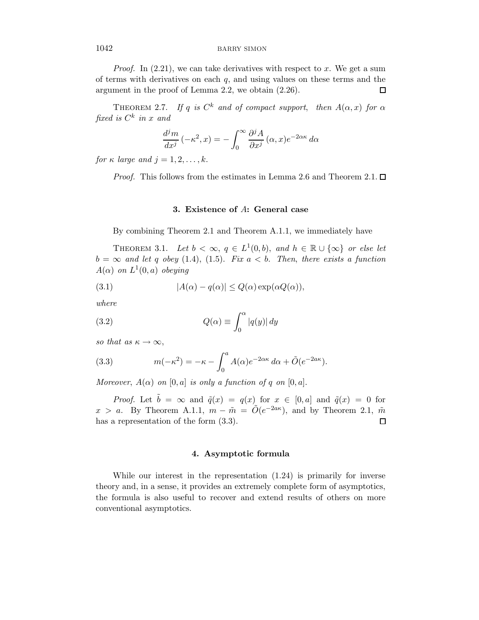*Proof.* In  $(2.21)$ , we can take derivatives with respect to x. We get a sum of terms with derivatives on each  $q$ , and using values on these terms and the argument in the proof of Lemma 2.2, we obtain (2.26). 口

THEOREM 2.7. If q is  $C^k$  and of compact support, then  $A(\alpha, x)$  for  $\alpha$ fixed is  $C^k$  in x and

$$
\frac{d^j m}{dx^j}(-\kappa^2, x) = -\int_0^\infty \frac{\partial^j A}{\partial x^j}(\alpha, x)e^{-2\alpha\kappa} d\alpha
$$

for  $\kappa$  large and  $j = 1, 2, \ldots, k$ .

*Proof.* This follows from the estimates in Lemma 2.6 and Theorem 2.1.  $\Box$ 

## 3. Existence of A: General case

By combining Theorem 2.1 and Theorem A.1.1, we immediately have

THEOREM 3.1. Let  $b < \infty$ ,  $q \in L^1(0, b)$ , and  $h \in \mathbb{R} \cup {\infty}$  or else let  $b = \infty$  and let q obey (1.4), (1.5). Fix  $a < b$ . Then, there exists a function  $A(\alpha)$  on  $L^1(0,a)$  obeying

(3.1) 
$$
|A(\alpha) - q(\alpha)| \le Q(\alpha) \exp(\alpha Q(\alpha)),
$$

where

(3.2) 
$$
Q(\alpha) \equiv \int_0^{\alpha} |q(y)| dy
$$

so that as  $\kappa \to \infty$ ,

(3.3) 
$$
m(-\kappa^2) = -\kappa - \int_0^a A(\alpha)e^{-2\alpha\kappa} d\alpha + \tilde{O}(e^{-2a\kappa}).
$$

Moreover,  $A(\alpha)$  on [0, a] is only a function of q on [0, a].

*Proof.* Let  $\tilde{b} = \infty$  and  $\tilde{q}(x) = q(x)$  for  $x \in [0, a]$  and  $\tilde{q}(x) = 0$  for  $x > a$ . By Theorem A.1.1,  $m - \tilde{m} = \tilde{O}(e^{-2a\kappa})$ , and by Theorem 2.1,  $\tilde{m}$ has a representation of the form  $(3.3)$ .  $\Box$ 

#### 4. Asymptotic formula

While our interest in the representation (1.24) is primarily for inverse theory and, in a sense, it provides an extremely complete form of asymptotics, the formula is also useful to recover and extend results of others on more conventional asymptotics.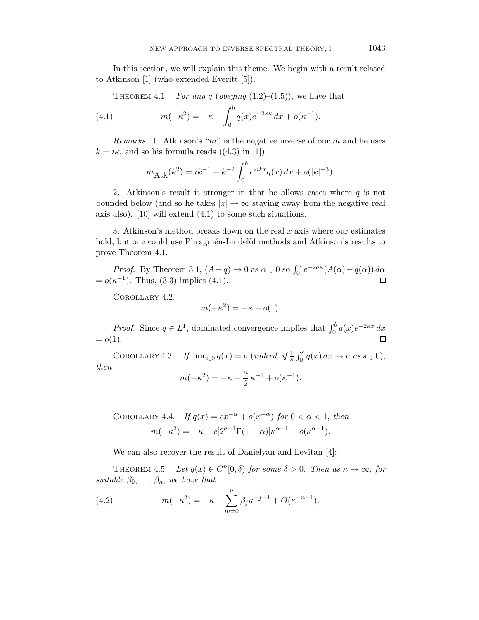In this section, we will explain this theme. We begin with a result related to Atkinson [1] (who extended Everitt [5]).

THEOREM 4.1. For any q (obeying  $(1.2)$ – $(1.5)$ ), we have that

(4.1) 
$$
m(-\kappa^2) = -\kappa - \int_0^b q(x)e^{-2x\kappa} dx + o(\kappa^{-1}).
$$

*Remarks.* 1. Atkinson's " $m$ " is the negative inverse of our m and he uses  $k = i\kappa$ , and so his formula reads  $((4.3)$  in [1])

$$
m_{\text{Atk}}(k^2) = ik^{-1} + k^{-2} \int_0^b e^{2ikx} q(x) dx + o(|k|^{-3}).
$$

2. Atkinson's result is stronger in that he allows cases where  $q$  is not bounded below (and so he takes  $|z| \to \infty$  staying away from the negative real axis also). [10] will extend (4.1) to some such situations.

3. Atkinson's method breaks down on the real  $x$  axis where our estimates hold, but one could use Phragmén-Lindelöf methods and Atkinson's results to prove Theorem 4.1.

*Proof.* By Theorem 3.1,  $(A-q) \to 0$  as  $\alpha \downarrow 0$  so  $\int_0^a e^{-2a\kappa} (A(\alpha) - q(\alpha)) d\alpha$  $= o(\kappa^{-1})$ . Thus, (3.3) implies (4.1).

Corollary 4.2.

$$
m(-\kappa^2) = -\kappa + o(1).
$$

*Proof.* Since  $q \in L^1$ , dominated convergence implies that  $\int_0^b q(x)e^{-2\kappa x} dx$  $= o(1)$ .

COROLLARY 4.3. If  $\lim_{x\downarrow 0} q(x) = a$  (indeed, if  $\frac{1}{s} \int_0^s q(x) dx \to a$  as  $s \downarrow 0$ ), then

$$
m(-\kappa^{2}) = -\kappa - \frac{a}{2}\,\kappa^{-1} + o(\kappa^{-1}).
$$

COROLLARY 4.4. If 
$$
q(x) = cx^{-\alpha} + o(x^{-\alpha})
$$
 for  $0 < \alpha < 1$ , then  
\n
$$
m(-\kappa^2) = -\kappa - c[2^{a-1}\Gamma(1-\alpha)]\kappa^{\alpha-1} + o(\kappa^{\alpha-1}).
$$

We can also recover the result of Danielyan and Levitan [4]:

THEOREM 4.5. Let  $q(x) \in C^n[0,\delta)$  for some  $\delta > 0$ . Then as  $\kappa \to \infty$ , for suitable  $\beta_0, \ldots, \beta_n$ , we have that

(4.2) 
$$
m(-\kappa^2) = -\kappa - \sum_{m=0}^n \beta_j \kappa^{-j-1} + O(\kappa^{-n-1}).
$$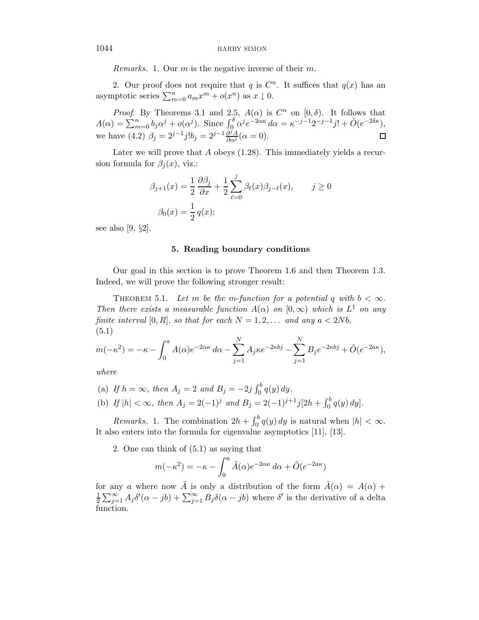Remarks. 1. Our  $m$  is the negative inverse of their  $m$ .

2. Our proof does not require that q is  $C<sup>n</sup>$ . It suffices that  $q(x)$  has an asymptotic series  $\sum_{m=0}^{n} a_m x^m + o(x^n)$  as  $x \downarrow 0$ .

*Proof.* By Theorems 3.1 and 2.5,  $A(\alpha)$  is  $C^n$  on  $[0, \delta)$ . It follows that  $A(\alpha) = \sum_{m=0}^{n} b_j \alpha^j + o(\alpha^j)$ . Since  $\int_0^{\delta} \alpha^j e^{-2\alpha\kappa} d\alpha = \kappa^{-j-1} 2^{-j-1} j! + \tilde{O}(e^{-2\delta\kappa}),$ we have (4.2)  $\beta_j = 2^{j-1} j! b_j = 2^{j-1} \frac{\partial^j A}{\partial \alpha^j} (\alpha = 0)$ .

Later we will prove that  $A$  obeys  $(1.28)$ . This immediately yields a recursion formula for  $\beta_i(x)$ , viz.:

$$
\beta_{j+1}(x) = \frac{1}{2} \frac{\partial \beta_j}{\partial x} + \frac{1}{2} \sum_{\ell=0}^j \beta_\ell(x) \beta_{j-\ell}(x), \qquad j \ge 0
$$

$$
\beta_0(x) = \frac{1}{2} q(x);
$$

see also [9, §2].

#### 5. Reading boundary conditions

Our goal in this section is to prove Theorem 1.6 and then Theorem 1.3. Indeed, we will prove the following stronger result:

THEOREM 5.1. Let m be the m-function for a potential q with  $b < \infty$ . Then there exists a measurable function  $A(\alpha)$  on  $[0,\infty)$  which is  $L^1$  on any finite interval [0, R], so that for each  $N = 1, 2, \ldots$  and any  $a < 2Nb$ , (5.1)

$$
m(-\kappa^2) = -\kappa - \int_0^a A(\alpha)e^{-2\alpha\kappa} d\alpha - \sum_{j=1}^N A_j \kappa e^{-2\kappa bj} - \sum_{j=1}^N B_j e^{-2\kappa bj} + \tilde{O}(e^{-2a\kappa}),
$$

where

(a) If  $h = \infty$ , then  $A_j = 2$  and  $B_j = -2j \int_0^b q(y) dy$ .

(b) If 
$$
|h| < \infty
$$
, then  $A_j = 2(-1)^j$  and  $B_j = 2(-1)^{j+1}j[2h + \int_0^b q(y) dy]$ .

Remarks. 1. The combination  $2h + \int_0^b q(y) dy$  is natural when  $|h| < \infty$ . It also enters into the formula for eigenvalue asymptotics [11], [13].

2. One can think of (5.1) as saying that

$$
m(-\kappa^2) = -\kappa - \int_0^a \tilde{A}(\alpha)e^{-2\alpha\kappa} d\alpha + \tilde{O}(e^{-2a\kappa})
$$

for any a where now  $\tilde{A}$  is only a distribution of the form  $\tilde{A}(\alpha) = A(\alpha) +$ 1  $\frac{1}{2} \sum_{j=1}^{\infty} A_j \delta'(\alpha - jb) + \sum_{j=1}^{\infty} B_j \delta(\alpha - jb)$  where  $\delta'$  is the derivative of a delta function.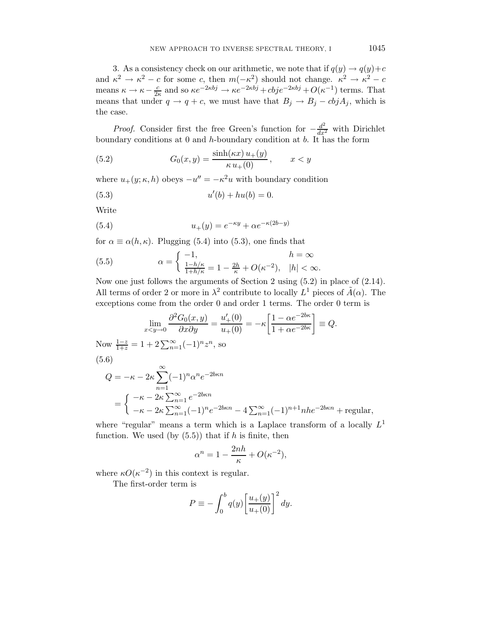3. As a consistency check on our arithmetic, we note that if  $q(y) \to q(y) + c$ and  $\kappa^2 \to \kappa^2 - c$  for some c, then  $m(-\kappa^2)$  should not change.  $\kappa^2 \to \kappa^2 - c$ means  $\kappa \to \kappa - \frac{c}{2\kappa}$  and so  $\kappa e^{-2\kappa bj} \to \kappa e^{-2\kappa bj} + cbj e^{-2\kappa bj} + O(\kappa^{-1})$  terms. That means that under  $q \to q + c$ , we must have that  $B_j \to B_j - c\dot{b}jA_j$ , which is the case.

*Proof.* Consider first the free Green's function for  $-\frac{d^2}{dx^2}$  with Dirichlet boundary conditions at  $0$  and  $h$ -boundary condition at  $b$ . It has the form

(5.2) 
$$
G_0(x, y) = \frac{\sinh(\kappa x) u_+(y)}{\kappa u_+(0)}, \qquad x < y
$$

where  $u_+(y; \kappa, h)$  obeys  $-u'' = -\kappa^2 u$  with boundary condition

(5.3) 
$$
u'(b) + hu(b) = 0.
$$

Write

(5.4) 
$$
u_{+}(y) = e^{-\kappa y} + \alpha e^{-\kappa(2b-y)}
$$

for  $\alpha \equiv \alpha(h,\kappa)$ . Plugging (5.4) into (5.3), one finds that

(5.5) 
$$
\alpha = \begin{cases} -1, & h = \infty \\ \frac{1-h/\kappa}{1+h/\kappa} = 1 - \frac{2h}{\kappa} + O(\kappa^{-2}), & |h| < \infty. \end{cases}
$$

Now one just follows the arguments of Section 2 using (5.2) in place of (2.14). All terms of order 2 or more in  $\lambda^2$  contribute to locally  $L^1$  pieces of  $\tilde{A}(\alpha)$ . The exceptions come from the order 0 and order 1 terms. The order 0 term is

$$
\lim_{x < y \to 0} \frac{\partial^2 G_0(x, y)}{\partial x \partial y} = \frac{u'_+(0)}{u_+(0)} = -\kappa \left[ \frac{1 - \alpha e^{-2b\kappa}}{1 + \alpha e^{-2b\kappa}} \right] \equiv Q.
$$

Now  $\frac{1-z}{1+z} = 1 + 2 \sum_{n=1}^{\infty} (-1)^n z^n$ , so (5.6)

$$
Q = -\kappa - 2\kappa \sum_{n=1}^{\infty} (-1)^n \alpha^n e^{-2b\kappa n}
$$
  
= 
$$
\begin{cases} -\kappa - 2\kappa \sum_{n=1}^{\infty} e^{-2b\kappa n} \\ -\kappa - 2\kappa \sum_{n=1}^{\infty} (-1)^n e^{-2b\kappa n} - 4 \sum_{n=1}^{\infty} (-1)^{n+1} n h e^{-2b\kappa n} + \text{regular}, \end{cases}
$$

where "regular" means a term which is a Laplace transform of a locally  $L^1$ function. We used (by  $(5.5)$ ) that if h is finite, then

$$
\alpha^n = 1 - \frac{2nh}{\kappa} + O(\kappa^{-2}),
$$

where  $\kappa O(\kappa^{-2})$  in this context is regular.

The first-order term is

$$
P \equiv -\int_0^b q(y) \left[ \frac{u_+(y)}{u_+(0)} \right]^2 dy.
$$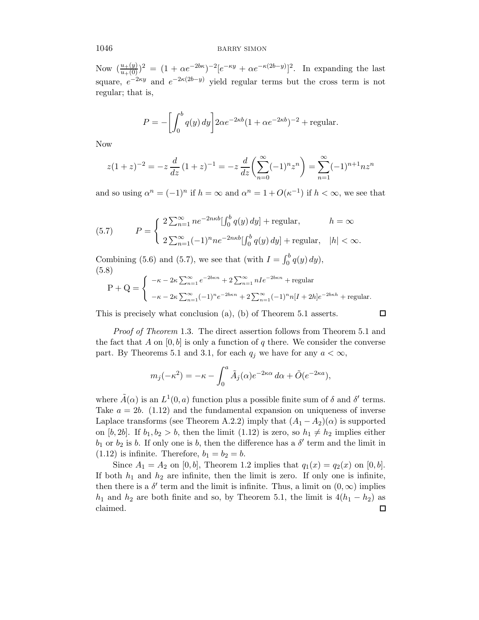Now  $\left(\frac{u_+(y_0)}{u_+(0)}\right)^2 = (1 + \alpha e^{-2b\kappa})^{-2} [e^{-\kappa y} + \alpha e^{-\kappa(2b-y)}]^2$ . In expanding the last square,  $e^{-2\kappa y}$  and  $e^{-2\kappa(2b-y)}$  yield regular terms but the cross term is not regular; that is,

$$
P = -\left[\int_0^b q(y) \, dy\right] 2\alpha e^{-2\kappa b} (1 + \alpha e^{-2\kappa b})^{-2} + \text{regular}.
$$

Now

$$
z(1+z)^{-2} = -z \frac{d}{dz} (1+z)^{-1} = -z \frac{d}{dz} \left( \sum_{n=0}^{\infty} (-1)^n z^n \right) = \sum_{n=1}^{\infty} (-1)^{n+1} n z^n
$$

and so using  $\alpha^n = (-1)^n$  if  $h = \infty$  and  $\alpha^n = 1 + O(\kappa^{-1})$  if  $h < \infty$ , we see that

(5.7) 
$$
P = \begin{cases} 2\sum_{n=1}^{\infty} ne^{-2n\kappa b} \left[\int_0^b q(y) dy\right] + \text{regular}, & h = \infty \\ 2\sum_{n=1}^{\infty} (-1)^n n e^{-2n\kappa b} \left[\int_0^b q(y) dy\right] + \text{regular}, & |h| < \infty. \end{cases}
$$

Combining (5.6) and (5.7), we see that (with  $I = \int_0^b q(y) dy$ ), (5.8)

$$
P + Q = \begin{cases}\n-\kappa - 2\kappa \sum_{n=1}^{\infty} e^{-2b\kappa n} + 2 \sum_{n=1}^{\infty} nIe^{-2b\kappa n} + \text{regular} \\
-\kappa - 2\kappa \sum_{n=1}^{\infty} (-1)^n e^{-2b\kappa n} + 2 \sum_{n=1}^{\infty} (-1)^n n[I + 2h]e^{-2b\kappa h} + \text{regular}.\n\end{cases}
$$

 $\Box$ 

This is precisely what conclusion (a), (b) of Theorem 5.1 asserts.

Proof of Theorem 1.3. The direct assertion follows from Theorem 5.1 and the fact that A on  $[0, b]$  is only a function of q there. We consider the converse part. By Theorems 5.1 and 3.1, for each  $q_i$  we have for any  $a < \infty$ ,

$$
m_j(-\kappa^2) = -\kappa - \int_0^a \tilde{A}_j(\alpha) e^{-2\kappa\alpha} d\alpha + \tilde{O}(e^{-2\kappa a}),
$$

where  $\tilde{A}(\alpha)$  is an  $L^1(0, a)$  function plus a possible finite sum of  $\delta$  and  $\delta'$  terms. Take  $a = 2b$ . (1.12) and the fundamental expansion on uniqueness of inverse Laplace transforms (see Theorem A.2.2) imply that  $(A_1 - A_2)(\alpha)$  is supported on [b, 2b]. If  $b_1, b_2 > b$ , then the limit (1.12) is zero, so  $h_1 \neq h_2$  implies either  $b_1$  or  $b_2$  is b. If only one is b, then the difference has a  $\delta'$  term and the limit in  $(1.12)$  is infinite. Therefore,  $b_1 = b_2 = b$ .

Since  $A_1 = A_2$  on [0, b], Theorem 1.2 implies that  $q_1(x) = q_2(x)$  on [0, b]. If both  $h_1$  and  $h_2$  are infinite, then the limit is zero. If only one is infinite, then there is a  $\delta'$  term and the limit is infinite. Thus, a limit on  $(0, \infty)$  implies  $h_1$  and  $h_2$  are both finite and so, by Theorem 5.1, the limit is  $4(h_1 - h_2)$  as claimed. □ claimed.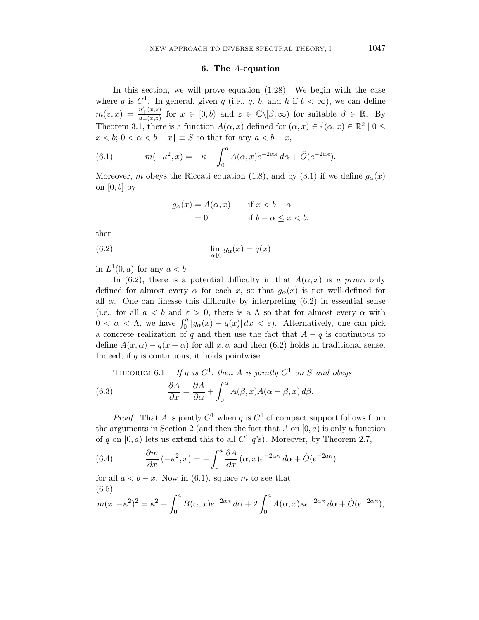## 6. The A-equation

In this section, we will prove equation (1.28). We begin with the case where q is  $C^1$ . In general, given q (i.e., q, b, and h if  $b < \infty$ ), we can define  $m(z,x) = \frac{u'_+(x,z)}{u_+(x,z)}$  $\frac{u'_{+}(x,z)}{u_{+}(x,z)}$  for  $x \in [0,b)$  and  $z \in \mathbb{C} \setminus [\beta,\infty)$  for suitable  $\beta \in \mathbb{R}$ . By Theorem 3.1, there is a function  $A(\alpha, x)$  defined for  $(\alpha, x) \in \{(\alpha, x) \in \mathbb{R}^2 \mid 0 \leq x \leq 1\}$  $x < b$ ;  $0 < \alpha < b - x$ }  $\equiv S$  so that for any  $a < b - x$ ,

(6.1) 
$$
m(-\kappa^2, x) = -\kappa - \int_0^a A(\alpha, x) e^{-2\alpha\kappa} d\alpha + \tilde{O}(e^{-2a\kappa}).
$$

Moreover, m obeys the Riccati equation (1.8), and by (3.1) if we define  $g_{\alpha}(x)$ on  $[0, b]$  by

$$
g_{\alpha}(x) = A(\alpha, x) \quad \text{if } x < b - \alpha
$$
  
= 0 \quad \text{if } b - \alpha \le x < b,

then

(6.2) 
$$
\lim_{\alpha \downarrow 0} g_{\alpha}(x) = q(x)
$$

in  $L^1(0, a)$  for any  $a < b$ .

In (6.2), there is a potential difficulty in that  $A(\alpha, x)$  is a priori only defined for almost every  $\alpha$  for each x, so that  $g_{\alpha}(x)$  is not well-defined for all  $\alpha$ . One can finesse this difficulty by interpreting (6.2) in essential sense (i.e., for all  $a < b$  and  $\varepsilon > 0$ , there is a  $\Lambda$  so that for almost every  $\alpha$  with  $0 < \alpha < \Lambda$ , we have  $\int_0^a |g_\alpha(x) - q(x)| dx < \varepsilon$ ). Alternatively, one can pick a concrete realization of q and then use the fact that  $A - q$  is continuous to define  $A(x, \alpha) - q(x + \alpha)$  for all x,  $\alpha$  and then (6.2) holds in traditional sense. Indeed, if  $q$  is continuous, it holds pointwise.

THEOREM 6.1. If q is 
$$
C^1
$$
, then A is jointly  $C^1$  on S and obeys  
(6.3) 
$$
\frac{\partial A}{\partial x} = \frac{\partial A}{\partial \alpha} + \int_0^{\alpha} A(\beta, x) A(\alpha - \beta, x) d\beta.
$$

*Proof.* That A is jointly  $C^1$  when q is  $C^1$  of compact support follows from the arguments in Section 2 (and then the fact that  $A$  on  $[0, a)$  is only a function of q on  $[0, a)$  lets us extend this to all  $C<sup>1</sup>$  q's). Moreover, by Theorem 2.7,

(6.4) 
$$
\frac{\partial m}{\partial x}(-\kappa^2, x) = -\int_0^a \frac{\partial A}{\partial x}(\alpha, x)e^{-2\alpha\kappa}d\alpha + \tilde{O}(e^{-2a\kappa})
$$

for all  $a < b - x$ . Now in (6.1), square m to see that (6.5)

$$
m(x, -\kappa^2)^2 = \kappa^2 + \int_0^a B(\alpha, x)e^{-2\alpha\kappa} d\alpha + 2\int_0^a A(\alpha, x)\kappa e^{-2\alpha\kappa} d\alpha + \tilde{O}(e^{-2\alpha\kappa}),
$$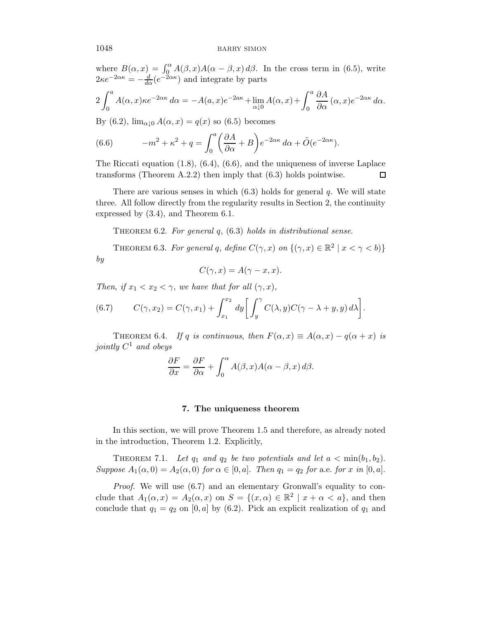where  $B(\alpha, x) = \int_{0}^{\alpha} A(\beta, x) A(\alpha - \beta, x) d\beta$ . In the cross term in (6.5), write  $2\kappa e^{-2\alpha\kappa} = -\frac{d}{d\alpha}(e^{-2\alpha\kappa})$  and integrate by parts

$$
2\int_0^a A(\alpha, x)\kappa e^{-2\alpha\kappa} d\alpha = -A(a, x)e^{-2a\kappa} + \lim_{\alpha \downarrow 0} A(\alpha, x) + \int_0^a \frac{\partial A}{\partial \alpha} (\alpha, x)e^{-2\alpha\kappa} d\alpha.
$$

By (6.2),  $\lim_{\alpha\downarrow 0} A(\alpha, x) = q(x)$  so (6.5) becomes

(6.6) 
$$
-m^2 + \kappa^2 + q = \int_0^a \left(\frac{\partial A}{\partial \alpha} + B\right) e^{-2\alpha \kappa} d\alpha + \tilde{O}(e^{-2\alpha \kappa}).
$$

The Riccati equation (1.8), (6.4), (6.6), and the uniqueness of inverse Laplace transforms (Theorem A.2.2) then imply that (6.3) holds pointwise. □

There are various senses in which  $(6.3)$  holds for general q. We will state three. All follow directly from the regularity results in Section 2, the continuity expressed by (3.4), and Theorem 6.1.

THEOREM 6.2. For general  $q$ ,  $(6.3)$  holds in distributional sense.

THEOREM 6.3. For general q, define  $C(\gamma, x)$  on  $\{(\gamma, x) \in \mathbb{R}^2 \mid x < \gamma < b\}$ by

$$
C(\gamma, x) = A(\gamma - x, x).
$$

Then, if  $x_1 < x_2 < \gamma$ , we have that for all  $(\gamma, x)$ ,

(6.7) 
$$
C(\gamma, x_2) = C(\gamma, x_1) + \int_{x_1}^{x_2} dy \left[ \int_y^{\gamma} C(\lambda, y) C(\gamma - \lambda + y, y) d\lambda \right].
$$

THEOREM 6.4. If q is continuous, then  $F(\alpha, x) \equiv A(\alpha, x) - q(\alpha + x)$  is jointly  $C^1$  and obeys

$$
\frac{\partial F}{\partial x} = \frac{\partial F}{\partial \alpha} + \int_0^\alpha A(\beta, x) A(\alpha - \beta, x) d\beta.
$$

#### 7. The uniqueness theorem

In this section, we will prove Theorem 1.5 and therefore, as already noted in the introduction, Theorem 1.2. Explicitly,

THEOREM 7.1. Let  $q_1$  and  $q_2$  be two potentials and let  $a < \min(b_1, b_2)$ . Suppose  $A_1(\alpha, 0) = A_2(\alpha, 0)$  for  $\alpha \in [0, a]$ . Then  $q_1 = q_2$  for a.e. for x in  $[0, a]$ .

Proof. We will use (6.7) and an elementary Gronwall's equality to conclude that  $A_1(\alpha, x) = A_2(\alpha, x)$  on  $S = \{(x, \alpha) \in \mathbb{R}^2 \mid x + \alpha < a\}$ , and then conclude that  $q_1 = q_2$  on [0, a] by (6.2). Pick an explicit realization of  $q_1$  and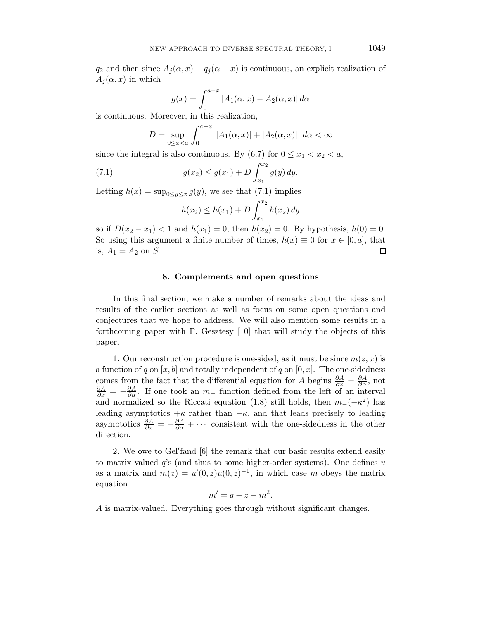$q_2$  and then since  $A_i(\alpha, x) - q_i(\alpha + x)$  is continuous, an explicit realization of  $A_i(\alpha, x)$  in which

$$
g(x) = \int_0^{a-x} |A_1(\alpha, x) - A_2(\alpha, x)| d\alpha
$$

is continuous. Moreover, in this realization,

$$
D = \sup_{0 \le x < a} \int_0^{a-x} \left[ |A_1(\alpha, x)| + |A_2(\alpha, x)| \right] d\alpha < \infty
$$

since the integral is also continuous. By (6.7) for  $0 \le x_1 < x_2 < a$ ,

(7.1) 
$$
g(x_2) \le g(x_1) + D \int_{x_1}^{x_2} g(y) dy.
$$

Letting  $h(x) = \sup_{0 \le y \le x} g(y)$ , we see that (7.1) implies

$$
h(x_2) \le h(x_1) + D \int_{x_1}^{x_2} h(x_2) \, dy
$$

so if  $D(x_2 - x_1) < 1$  and  $h(x_1) = 0$ , then  $h(x_2) = 0$ . By hypothesis,  $h(0) = 0$ . So using this argument a finite number of times,  $h(x) \equiv 0$  for  $x \in [0, a]$ , that is,  $A_1 = A_2$  on S. is,  $A_1 = A_2$  on  $S$ .

#### 8. Complements and open questions

In this final section, we make a number of remarks about the ideas and results of the earlier sections as well as focus on some open questions and conjectures that we hope to address. We will also mention some results in a forthcoming paper with F. Gesztesy [10] that will study the objects of this paper.

1. Our reconstruction procedure is one-sided, as it must be since  $m(z, x)$  is a function of q on  $[x, b]$  and totally independent of q on  $[0, x]$ . The one-sidedness comes from the fact that the differential equation for A begins  $\frac{\partial A}{\partial x} = \frac{\partial A}{\partial \alpha}$ , not  $\frac{\partial A}{\partial x} = -\frac{\partial A}{\partial \alpha}$ . If one took an  $m_-$  function defined from the left of an interval and normalized so the Riccati equation (1.8) still holds, then  $m_{-}(-\kappa^2)$  has leading asymptotics  $+\kappa$  rather than  $-\kappa$ , and that leads precisely to leading asymptotics  $\frac{\partial A}{\partial x} = -\frac{\partial A}{\partial \alpha} + \cdots$  consistent with the one-sidedness in the other direction.

2. We owe to Gel′ fand [6] the remark that our basic results extend easily to matrix valued  $q$ 's (and thus to some higher-order systems). One defines u as a matrix and  $m(z) = u'(0, z)u(0, z)^{-1}$ , in which case m obeys the matrix equation

$$
m'=q-z-m^2.
$$

A is matrix-valued. Everything goes through without significant changes.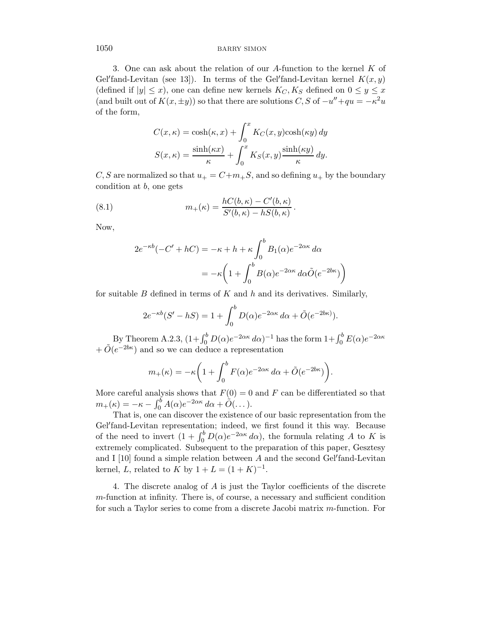3. One can ask about the relation of our A-function to the kernel K of Gel'fand-Levitan (see 13]). In terms of the Gel'fand-Levitan kernel  $K(x, y)$ (defined if  $|y| \leq x$ ), one can define new kernels  $K_C, K_S$  defined on  $0 \leq y \leq x$ (and built out of  $K(x, \pm y)$ ) so that there are solutions C, S of  $-u'' + qu = -\kappa^2 u$ of the form,

$$
C(x, \kappa) = \cosh(\kappa, x) + \int_0^x K_C(x, y) \cosh(\kappa y) dy
$$

$$
S(x, \kappa) = \frac{\sinh(\kappa x)}{\kappa} + \int_0^x K_S(x, y) \frac{\sinh(\kappa y)}{\kappa} dy.
$$

C, S are normalized so that  $u_+ = C+m_+S$ , and so defining  $u_+$  by the boundary condition at  $b$ , one gets

(8.1) 
$$
m_{+}(\kappa) = \frac{hC(b,\kappa) - C'(b,\kappa)}{S'(b,\kappa) - hS(b,\kappa)}.
$$

Now,

$$
2e^{-\kappa b}(-C' + hC) = -\kappa + h + \kappa \int_0^b B_1(\alpha)e^{-2\alpha \kappa} d\alpha
$$

$$
= -\kappa \left(1 + \int_0^b B(\alpha)e^{-2\alpha \kappa} d\alpha \tilde{O}(e^{-2b\kappa})\right)
$$

for suitable  $B$  defined in terms of  $K$  and  $h$  and its derivatives. Similarly,

$$
2e^{-\kappa b}(S'-hS) = 1 + \int_0^b D(\alpha)e^{-2\alpha\kappa} d\alpha + \tilde{O}(e^{-2b\kappa}).
$$

By Theorem A.2.3,  $(1+\int_0^b D(\alpha)e^{-2\alpha\kappa} d\alpha)^{-1}$  has the form  $1+\int_0^b E(\alpha)e^{-2\alpha\kappa}$  $+ \tilde{O}(e^{-2b\kappa})$  and so we can deduce a representation

$$
m_{+}(\kappa) = -\kappa \left( 1 + \int_{0}^{b} F(\alpha) e^{-2\alpha \kappa} d\alpha + \tilde{O}(e^{-2b\kappa}) \right).
$$

More careful analysis shows that  $F(0) = 0$  and F can be differentiated so that  $m_+(\kappa) = -\kappa - \int_0^b A(\alpha)e^{-2\alpha\kappa} d\alpha + \tilde{O}(\dots).$ 

That is, one can discover the existence of our basic representation from the Gel′ fand-Levitan representation; indeed, we first found it this way. Because of the need to invert  $(1 + \int_0^b D(\alpha)e^{-2\alpha \kappa} d\alpha)$ , the formula relating A to K is extremely complicated. Subsequent to the preparation of this paper, Gesztesy and I [10] found a simple relation between A and the second Gel'fand-Levitan kernel, L, related to K by  $1 + L = (1 + K)^{-1}$ .

4. The discrete analog of A is just the Taylor coefficients of the discrete m-function at infinity. There is, of course, a necessary and sufficient condition for such a Taylor series to come from a discrete Jacobi matrix m-function. For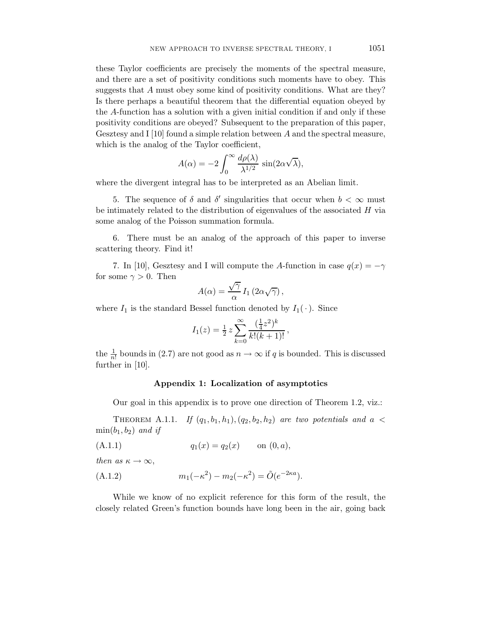these Taylor coefficients are precisely the moments of the spectral measure, and there are a set of positivity conditions such moments have to obey. This suggests that A must obey some kind of positivity conditions. What are they? Is there perhaps a beautiful theorem that the differential equation obeyed by the A-function has a solution with a given initial condition if and only if these positivity conditions are obeyed? Subsequent to the preparation of this paper, Gesztesy and I  $[10]$  found a simple relation between  $A$  and the spectral measure, which is the analog of the Taylor coefficient,

$$
A(\alpha) = -2 \int_0^\infty \frac{d\rho(\lambda)}{\lambda^{1/2}} \sin(2\alpha \sqrt{\lambda}),
$$

where the divergent integral has to be interpreted as an Abelian limit.

5. The sequence of  $\delta$  and  $\delta'$  singularities that occur when  $b < \infty$  must be intimately related to the distribution of eigenvalues of the associated  $H$  via some analog of the Poisson summation formula.

6. There must be an analog of the approach of this paper to inverse scattering theory. Find it!

7. In [10], Gesztesy and I will compute the A-function in case  $q(x) = -\gamma$ for some  $\gamma > 0$ . Then

$$
A(\alpha) = \frac{\sqrt{\gamma}}{\alpha} I_1(2\alpha\sqrt{\gamma}),
$$

where  $I_1$  is the standard Bessel function denoted by  $I_1(\cdot)$ . Since

$$
I_1(z) = \frac{1}{2} z \sum_{k=0}^{\infty} \frac{(\frac{1}{4}z^2)^k}{k!(k+1)!},
$$

the  $\frac{1}{n!}$  bounds in (2.7) are not good as  $n \to \infty$  if q is bounded. This is discussed further in [10].

#### Appendix 1: Localization of asymptotics

Our goal in this appendix is to prove one direction of Theorem 1.2, viz.:

THEOREM A.1.1. If  $(q_1, b_1, h_1), (q_2, b_2, h_2)$  are two potentials and  $a <$  $\min(b_1, b_2)$  and if

(A.1.1) 
$$
q_1(x) = q_2(x)
$$
 on  $(0, a)$ ,

then as  $\kappa \to \infty$ ,

(A.1.2) 
$$
m_1(-\kappa^2) - m_2(-\kappa^2) = \tilde{O}(e^{-2\kappa a}).
$$

While we know of no explicit reference for this form of the result, the closely related Green's function bounds have long been in the air, going back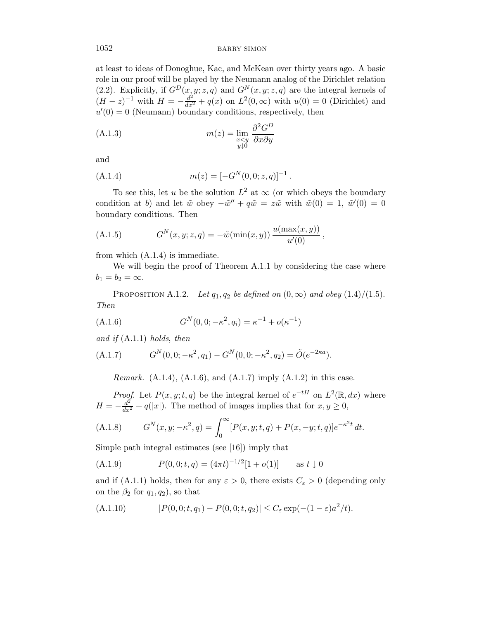at least to ideas of Donoghue, Kac, and McKean over thirty years ago. A basic role in our proof will be played by the Neumann analog of the Dirichlet relation (2.2). Explicitly, if  $G^D(x, y; z, q)$  and  $G^N(x, y; z, q)$  are the integral kernels of  $(H - z)^{-1}$  with  $H = -\frac{d^2}{dx^2} + q(x)$  on  $L^2(0, \infty)$  with  $u(0) = 0$  (Dirichlet) and  $u'(0) = 0$  (Neumann) boundary conditions, respectively, then

(A.1.3) 
$$
m(z) = \lim_{\substack{x \le y \\ y \downarrow 0}} \frac{\partial^2 G^D}{\partial x \partial y}
$$

and

(A.1.4) 
$$
m(z) = [-G^N(0,0;z,q)]^{-1}.
$$

To see this, let u be the solution  $L^2$  at  $\infty$  (or which obeys the boundary condition at b) and let  $\tilde{w}$  obey  $-\tilde{w}'' + q\tilde{w} = z\tilde{w}$  with  $\tilde{w}(0) = 1$ ,  $\tilde{w}'(0) = 0$ boundary conditions. Then

(A.1.5) 
$$
G^{N}(x, y; z, q) = -\tilde{w}(\min(x, y)) \frac{u(\max(x, y))}{u'(0)},
$$

from which (A.1.4) is immediate.

We will begin the proof of Theorem A.1.1 by considering the case where  $b_1 = b_2 = \infty$ .

PROPOSITION A.1.2. Let  $q_1, q_2$  be defined on  $(0, \infty)$  and obey  $(1.4)/(1.5)$ . Then

(A.1.6) 
$$
G^{N}(0,0;-\kappa^{2},q_{i}) = \kappa^{-1} + o(\kappa^{-1})
$$

and if  $(A.1.1)$  holds, then

(A.1.7) 
$$
G^{N}(0,0;-\kappa^2,q_1) - G^{N}(0,0;-\kappa^2,q_2) = \tilde{O}(e^{-2\kappa a}).
$$

*Remark.* (A.1.4), (A.1.6), and (A.1.7) imply (A.1.2) in this case.

*Proof.* Let  $P(x, y; t, q)$  be the integral kernel of  $e^{-tH}$  on  $L^2(\mathbb{R}, dx)$  where  $H = -\frac{d^2}{dx^2} + q(|x|)$ . The method of images implies that for  $x, y \ge 0$ ,

(A.1.8) 
$$
G^{N}(x, y; -\kappa^{2}, q) = \int_{0}^{\infty} [P(x, y; t, q) + P(x, -y; t, q)] e^{-\kappa^{2} t} dt.
$$

Simple path integral estimates (see [16]) imply that

(A.1.9) 
$$
P(0,0;t,q) = (4\pi t)^{-1/2}[1+o(1)] \text{ as } t \downarrow 0
$$

and if (A.1.1) holds, then for any  $\varepsilon > 0$ , there exists  $C_{\varepsilon} > 0$  (depending only on the  $\beta_2$  for  $q_1, q_2$ , so that

(A.1.10) 
$$
|P(0,0;t,q_1) - P(0,0;t,q_2)| \le C_{\varepsilon} \exp(-(1-\varepsilon)a^2/t).
$$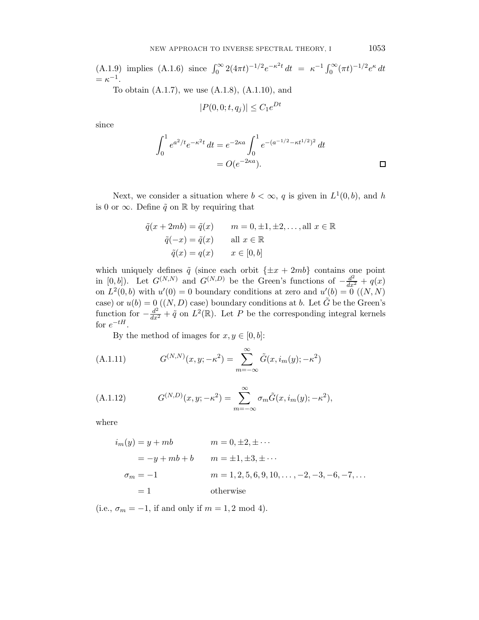(A.1.9) implies (A.1.6) since 
$$
\int_0^\infty 2(4\pi t)^{-1/2} e^{-\kappa^2 t} dt = \kappa^{-1} \int_0^\infty (\pi t)^{-1/2} e^{\kappa} dt
$$
  
=  $\kappa^{-1}$ .  
To obtain (A.1.7) we use (A.1.8) (A.1.10) and

To obtain (A.1.7), we use (A.1.8), (A.1.10), and

$$
|P(0,0;t,q_j)| \leq C_1 e^{Dt}
$$

since

$$
\int_0^1 e^{a^2/t} e^{-\kappa^2 t} dt = e^{-2\kappa a} \int_0^1 e^{-(a^{-1/2} - \kappa t^{1/2})^2} dt
$$
  
=  $O(e^{-2\kappa a}).$ 

Next, we consider a situation where  $b < \infty$ , q is given in  $L^1(0, b)$ , and h is 0 or  $\infty$ . Define  $\tilde{q}$  on R by requiring that

$$
\tilde{q}(x+2mb) = \tilde{q}(x) \qquad m = 0, \pm 1, \pm 2, \dots, \text{all } x \in \mathbb{R}
$$

$$
\tilde{q}(-x) = \tilde{q}(x) \qquad \text{all } x \in \mathbb{R}
$$

$$
\tilde{q}(x) = q(x) \qquad x \in [0, b]
$$

which uniquely defines  $\tilde{q}$  (since each orbit  $\{\pm x + 2mb\}$  contains one point in [0, b]). Let  $G^{(N,N)}$  and  $G^{(N,D)}$  be the Green's functions of  $-\frac{d^2}{dx^2} + q(x)$ on  $L^2(0, b)$  with  $u'(0) = 0$  boundary conditions at zero and  $u'(b) = 0$   $((N, N)$ case) or  $u(b) = 0 \ ((N, D)$  case) boundary conditions at b. Let  $\tilde{G}$  be the Green's function for  $-\frac{d^2}{dx^2} + \tilde{q}$  on  $L^2(\mathbb{R})$ . Let P be the corresponding integral kernels for  $e^{-tH}$ .

By the method of images for  $x, y \in [0, b]$ :

(A.1.11) 
$$
G^{(N,N)}(x,y;-\kappa^2) = \sum_{m=-\infty}^{\infty} \tilde{G}(x,i_m(y);-\kappa^2)
$$

(A.1.12) 
$$
G^{(N,D)}(x,y;-\kappa^2) = \sum_{m=-\infty}^{\infty} \sigma_m \tilde{G}(x,i_m(y);-\kappa^2),
$$

where

$$
i_m(y) = y + mb \qquad m = 0, \pm 2, \pm \cdots
$$
  
= -y + mb + b \qquad m = \pm 1, \pm 3, \pm \cdots  

$$
\sigma_m = -1 \qquad m = 1, 2, 5, 6, 9, 10, \dots, -2, -3, -6, -7, \dots
$$
  
= 1 \qquad \text{otherwise}

(i.e.,  $\sigma_m = -1$ , if and only if  $m = 1, 2 \text{ mod } 4$ ).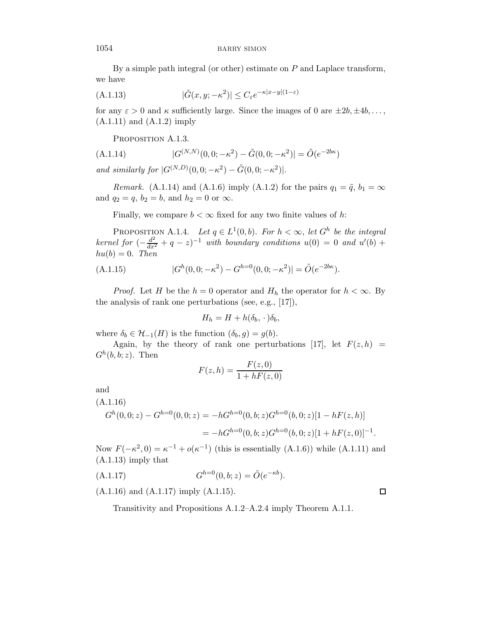By a simple path integral (or other) estimate on  $P$  and Laplace transform, we have

(A.1.13) 
$$
|\tilde{G}(x,y;-\kappa^2)| \leq C_{\varepsilon} e^{-\kappa |x-y|(1-\varepsilon)}
$$

for any  $\varepsilon > 0$  and  $\kappa$  sufficiently large. Since the images of 0 are  $\pm 2b, \pm 4b, \ldots$ , (A.1.11) and (A.1.2) imply

PROPOSITION A.1.3.

(A.1.14) 
$$
|G^{(N,N)}(0,0;-\kappa^2) - \tilde{G}(0,0;-\kappa^2)| = \tilde{O}(e^{-2b\kappa})
$$

and similarly for  $|G^{(N,D)}(0,0; -\kappa^2) - \tilde{G}(0,0; -\kappa^2)|$ .

*Remark.* (A.1.14) and (A.1.6) imply (A.1.2) for the pairs  $q_1 = \tilde{q}$ ,  $b_1 = \infty$ and  $q_2 = q$ ,  $b_2 = b$ , and  $h_2 = 0$  or  $\infty$ .

Finally, we compare  $b < \infty$  fixed for any two finite values of h:

PROPOSITION A.1.4. Let  $q \in L^1(0, b)$ . For  $h < \infty$ , let  $G^h$  be the integral kernel for  $\left(-\frac{d^2}{dx^2} + q - z\right)^{-1}$  with boundary conditions  $u(0) = 0$  and  $u'(b) +$  $hu(b) = 0$ . Then

(A.1.15) 
$$
|G^h(0,0;-\kappa^2) - G^{h=0}(0,0;-\kappa^2)| = \tilde{O}(e^{-2b\kappa}).
$$

*Proof.* Let H be the  $h = 0$  operator and  $H_h$  the operator for  $h < \infty$ . By the analysis of rank one perturbations (see, e.g., [17]),

$$
H_h = H + h(\delta_b, \cdot)\delta_b,
$$

where  $\delta_b \in \mathcal{H}_{-1}(H)$  is the function  $(\delta_b, g) = g(b)$ .

Again, by the theory of rank one perturbations [17], let  $F(z, h)$  =  $G^h(b, b; z)$ . Then

$$
F(z,h) = \frac{F(z,0)}{1 + hF(z,0)}
$$

and

$$
(A.1.16)
$$
  
\n
$$
G^h(0,0;z) - G^{h=0}(0,0;z) = -hG^{h=0}(0,b;z)G^{h=0}(b,0;z)[1 - hF(z,h)]
$$
  
\n
$$
= -hG^{h=0}(0,b;z)G^{h=0}(b,0;z)[1 + hF(z,0)]^{-1}.
$$

Now  $F(-\kappa^2, 0) = \kappa^{-1} + o(\kappa^{-1})$  (this is essentially (A.1.6)) while (A.1.11) and (A.1.13) imply that

(A.1.17) 
$$
G^{h=0}(0, b; z) = \tilde{O}(e^{-\kappa b}).
$$

(A.1.16) and (A.1.17) imply (A.1.15).

Transitivity and Propositions A.1.2–A.2.4 imply Theorem A.1.1.

 $\Box$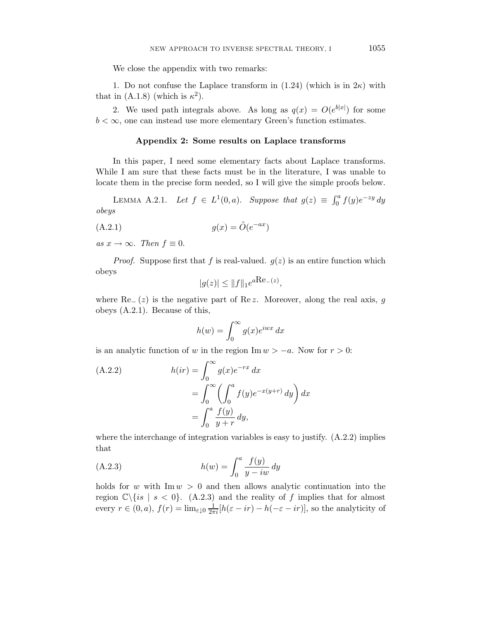We close the appendix with two remarks:

1. Do not confuse the Laplace transform in  $(1.24)$  (which is in  $2\kappa$ ) with that in (A.1.8) (which is  $\kappa^2$ ).

2. We used path integrals above. As long as  $q(x) = O(e^{b|x|})$  for some  $b < \infty$ , one can instead use more elementary Green's function estimates.

#### Appendix 2: Some results on Laplace transforms

In this paper, I need some elementary facts about Laplace transforms. While I am sure that these facts must be in the literature, I was unable to locate them in the precise form needed, so I will give the simple proofs below.

LEMMA A.2.1. Let  $f \in L^1(0, a)$ . Suppose that  $g(z) \equiv \int_0^a f(y) e^{-zy} dy$ obeys

$$
(A.2.1) \t\t g(x) = \tilde{O}(e^{-ax})
$$

as  $x \to \infty$ . Then  $f \equiv 0$ .

*Proof.* Suppose first that f is real-valued.  $g(z)$  is an entire function which obeys

$$
|g(z)| \le \|f\|_1 e^{a \text{Re}(-z)},
$$

where  $\text{Re} (z)$  is the negative part of  $\text{Re } z$ . Moreover, along the real axis, g obeys (A.2.1). Because of this,

$$
h(w) = \int_0^\infty g(x)e^{iwx} dx
$$

is an analytic function of w in the region Im  $w > -a$ . Now for  $r > 0$ :

(A.2.2) 
$$
h(ir) = \int_0^\infty g(x)e^{-rx} dx
$$

$$
= \int_0^\infty \left(\int_0^a f(y)e^{-x(y+r)} dy\right) dx
$$

$$
= \int_0^a \frac{f(y)}{y+r} dy,
$$

where the interchange of integration variables is easy to justify. (A.2.2) implies that

(A.2.3) 
$$
h(w) = \int_0^a \frac{f(y)}{y - iw} dy
$$

holds for w with  $\text{Im } w > 0$  and then allows analytic continuation into the region  $\mathbb{C}\setminus\{is \mid s < 0\}$ . (A.2.3) and the reality of f implies that for almost every  $r \in (0, a)$ ,  $f(r) = \lim_{\varepsilon \downarrow 0} \frac{1}{2\pi i} [h(\varepsilon - ir) - h(-\varepsilon - ir)],$  so the analyticity of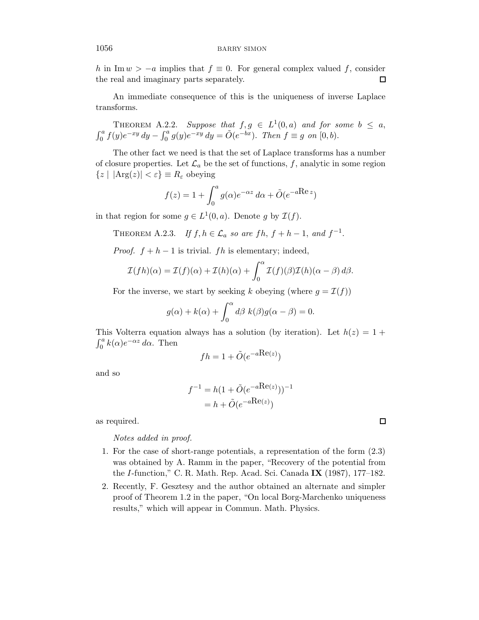h in Im  $w > -a$  implies that  $f \equiv 0$ . For general complex valued f, consider the real and imaginary parts separately. the real and imaginary parts separately.

An immediate consequence of this is the uniqueness of inverse Laplace transforms.

THEOREM A.2.2. Suppose that  $f, g \in L^1(0, a)$  and for some  $b \le a$ ,  $\int_0^a f(y)e^{-xy} dy - \int_0^a g(y)e^{-xy} dy = \tilde{O}(e^{-bx})$ . Then  $f \equiv g$  on  $[0, b)$ .

The other fact we need is that the set of Laplace transforms has a number of closure properties. Let  $\mathcal{L}_a$  be the set of functions, f, analytic in some region  ${z | |Arg(z)| < \varepsilon} \equiv R_{\varepsilon}$  obeying

$$
f(z) = 1 + \int_0^a g(\alpha)e^{-\alpha z} d\alpha + \tilde{O}(e^{-a\text{Re }z})
$$

in that region for some  $g \in L^1(0, a)$ . Denote g by  $\mathcal{I}(f)$ .

THEOREM A.2.3. If  $f, h \in \mathcal{L}_a$  so are  $fh, f + h - 1$ , and  $f^{-1}$ .

*Proof.*  $f + h - 1$  is trivial. *fh* is elementary; indeed,

$$
\mathcal{I}(fh)(\alpha) = \mathcal{I}(f)(\alpha) + \mathcal{I}(h)(\alpha) + \int_0^\alpha \mathcal{I}(f)(\beta) \mathcal{I}(h)(\alpha - \beta) d\beta.
$$

For the inverse, we start by seeking k obeying (where  $g = \mathcal{I}(f)$ )

$$
g(\alpha) + k(\alpha) + \int_0^{\alpha} d\beta \ k(\beta)g(\alpha - \beta) = 0.
$$

This Volterra equation always has a solution (by iteration). Let  $h(z) = 1 +$  $\int_0^a k(\alpha)e^{-\alpha z} d\alpha$ . Then

$$
fh = 1 + \tilde{O}(e^{-a\text{Re}(z)})
$$

and so

$$
f^{-1} = h(1 + \tilde{O}(e^{-aRe(z)}))^{-1}
$$
  
=  $h + \tilde{O}(e^{-aRe(z)})$ 

as required.

Notes added in proof.

- 1. For the case of short-range potentials, a representation of the form (2.3) was obtained by A. Ramm in the paper, "Recovery of the potential from the I-function," C. R. Math. Rep. Acad. Sci. Canada IX (1987), 177–182.
- 2. Recently, F. Gesztesy and the author obtained an alternate and simpler proof of Theorem 1.2 in the paper, "On local Borg-Marchenko uniqueness results," which will appear in Commun. Math. Physics.